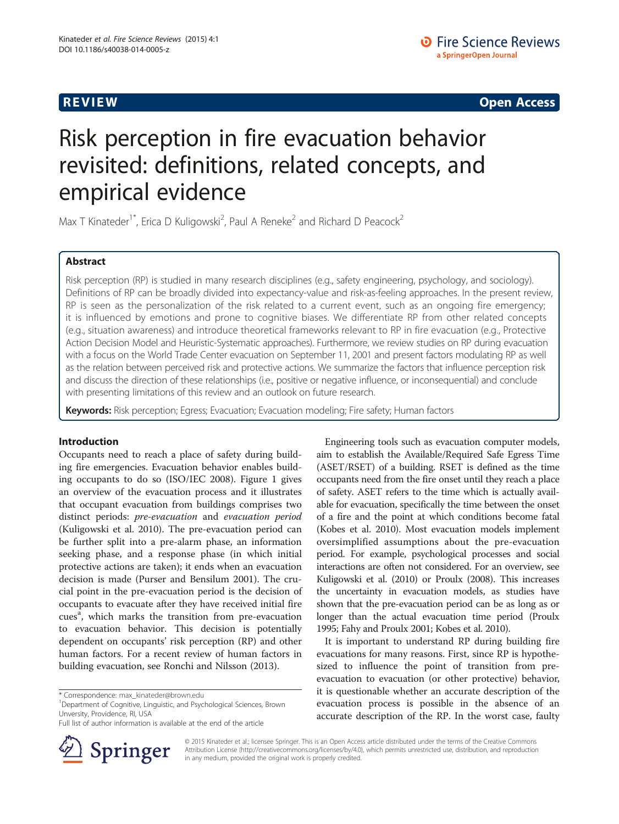**REVIEW CONSTRUCTION CONSTRUCTION CONSTRUCTS** 

# Risk perception in fire evacuation behavior revisited: definitions, related concepts, and empirical evidence

Max T Kinateder<sup>1\*</sup>, Erica D Kuligowski<sup>2</sup>, Paul A Reneke<sup>2</sup> and Richard D Peacock<sup>2</sup>

# Abstract

Risk perception (RP) is studied in many research disciplines (e.g., safety engineering, psychology, and sociology). Definitions of RP can be broadly divided into expectancy-value and risk-as-feeling approaches. In the present review, RP is seen as the personalization of the risk related to a current event, such as an ongoing fire emergency; it is influenced by emotions and prone to cognitive biases. We differentiate RP from other related concepts (e.g., situation awareness) and introduce theoretical frameworks relevant to RP in fire evacuation (e.g., Protective Action Decision Model and Heuristic-Systematic approaches). Furthermore, we review studies on RP during evacuation with a focus on the World Trade Center evacuation on September 11, 2001 and present factors modulating RP as well as the relation between perceived risk and protective actions. We summarize the factors that influence perception risk and discuss the direction of these relationships (i.e., positive or negative influence, or inconsequential) and conclude with presenting limitations of this review and an outlook on future research.

Keywords: Risk perception; Egress; Evacuation; Evacuation modeling; Fire safety; Human factors

# Introduction

Occupants need to reach a place of safety during building fire emergencies. Evacuation behavior enables building occupants to do so (ISO/IEC [2008\)](#page-23-0). Figure [1](#page-1-0) gives an overview of the evacuation process and it illustrates that occupant evacuation from buildings comprises two distinct periods: pre-evacuation and evacuation period (Kuligowski et al. [2010\)](#page-23-0). The pre-evacuation period can be further split into a pre-alarm phase, an information seeking phase, and a response phase (in which initial protective actions are taken); it ends when an evacuation decision is made (Purser and Bensilum [2001](#page-24-0)). The crucial point in the pre-evacuation period is the decision of occupants to evacuate after they have received initial fire cues<sup>a</sup>, which marks the transition from pre-evacuation to evacuation behavior. This decision is potentially dependent on occupants' risk perception (RP) and other human factors. For a recent review of human factors in building evacuation, see Ronchi and Nilsson ([2013\)](#page-24-0).

<sup>1</sup>Department of Cognitive, Linguistic, and Psychological Sciences, Brown Unversity, Providence, RI, USA

Full list of author information is available at the end of the article



Engineering tools such as evacuation computer models, aim to establish the Available/Required Safe Egress Time (ASET/RSET) of a building. RSET is defined as the time occupants need from the fire onset until they reach a place of safety. ASET refers to the time which is actually available for evacuation, specifically the time between the onset of a fire and the point at which conditions become fatal (Kobes et al. [2010\)](#page-23-0). Most evacuation models implement oversimplified assumptions about the pre-evacuation period. For example, psychological processes and social interactions are often not considered. For an overview, see Kuligowski et al. [\(2010](#page-23-0)) or Proulx ([2008\)](#page-24-0). This increases the uncertainty in evacuation models, as studies have shown that the pre-evacuation period can be as long as or longer than the actual evacuation time period (Proulx [1995;](#page-24-0) Fahy and Proulx [2001](#page-22-0); Kobes et al. [2010](#page-23-0)).

It is important to understand RP during building fire evacuations for many reasons. First, since RP is hypothesized to influence the point of transition from preevacuation to evacuation (or other protective) behavior, it is questionable whether an accurate description of the evacuation process is possible in the absence of an accurate description of the RP. In the worst case, faulty

© 2015 Kinateder et al.; licensee Springer. This is an Open Access article distributed under the terms of the Creative Commons Attribution License [\(http://creativecommons.org/licenses/by/4.0\)](http://creativecommons.org/licenses/by/4.0), which permits unrestricted use, distribution, and reproduction in any medium, provided the original work is properly credited.

<sup>\*</sup> Correspondence: [max\\_kinateder@brown.edu](mailto:max_kinateder@brown.edu) <sup>1</sup>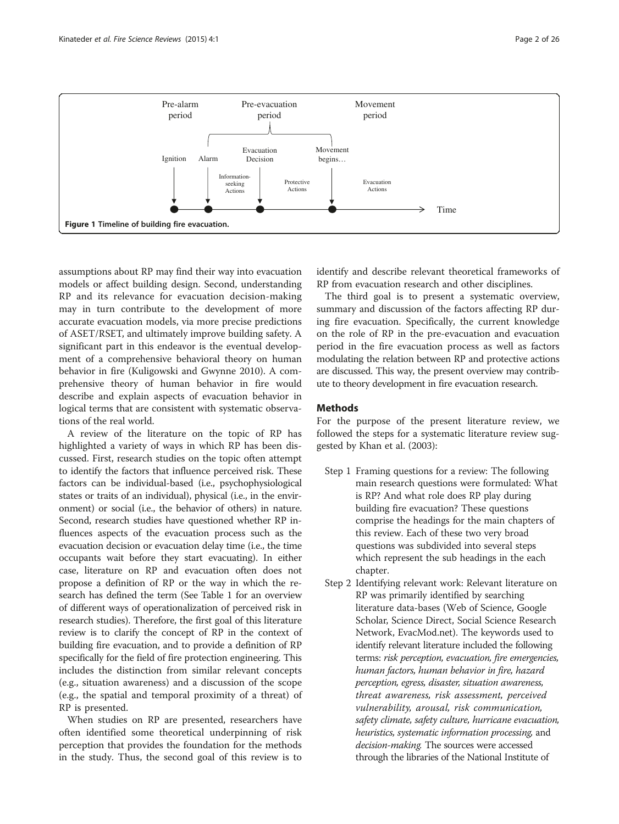

<span id="page-1-0"></span>

assumptions about RP may find their way into evacuation models or affect building design. Second, understanding RP and its relevance for evacuation decision-making may in turn contribute to the development of more accurate evacuation models, via more precise predictions of ASET/RSET, and ultimately improve building safety. A significant part in this endeavor is the eventual development of a comprehensive behavioral theory on human behavior in fire (Kuligowski and Gwynne [2010](#page-23-0)). A comprehensive theory of human behavior in fire would describe and explain aspects of evacuation behavior in logical terms that are consistent with systematic observations of the real world.

A review of the literature on the topic of RP has highlighted a variety of ways in which RP has been discussed. First, research studies on the topic often attempt to identify the factors that influence perceived risk. These factors can be individual-based (i.e., psychophysiological states or traits of an individual), physical (i.e., in the environment) or social (i.e., the behavior of others) in nature. Second, research studies have questioned whether RP influences aspects of the evacuation process such as the evacuation decision or evacuation delay time (i.e., the time occupants wait before they start evacuating). In either case, literature on RP and evacuation often does not propose a definition of RP or the way in which the research has defined the term (See Table [1](#page-2-0) for an overview of different ways of operationalization of perceived risk in research studies). Therefore, the first goal of this literature review is to clarify the concept of RP in the context of building fire evacuation, and to provide a definition of RP specifically for the field of fire protection engineering. This includes the distinction from similar relevant concepts (e.g., situation awareness) and a discussion of the scope (e.g., the spatial and temporal proximity of a threat) of RP is presented.

When studies on RP are presented, researchers have often identified some theoretical underpinning of risk perception that provides the foundation for the methods in the study. Thus, the second goal of this review is to

identify and describe relevant theoretical frameworks of RP from evacuation research and other disciplines.

The third goal is to present a systematic overview, summary and discussion of the factors affecting RP during fire evacuation. Specifically, the current knowledge on the role of RP in the pre-evacuation and evacuation period in the fire evacuation process as well as factors modulating the relation between RP and protective actions are discussed. This way, the present overview may contribute to theory development in fire evacuation research.

# **Methods**

For the purpose of the present literature review, we followed the steps for a systematic literature review suggested by Khan et al. [\(2003\)](#page-23-0):

- Step 1 Framing questions for a review: The following main research questions were formulated: What is RP? And what role does RP play during building fire evacuation? These questions comprise the headings for the main chapters of this review. Each of these two very broad questions was subdivided into several steps which represent the sub headings in the each chapter.
- Step 2 Identifying relevant work: Relevant literature on RP was primarily identified by searching literature data-bases (Web of Science, Google Scholar, Science Direct, Social Science Research Network, EvacMod.net). The keywords used to identify relevant literature included the following terms: risk perception, evacuation, fire emergencies, human factors, human behavior in fire, hazard perception, egress, disaster, situation awareness, threat awareness, risk assessment, perceived vulnerability, arousal, risk communication, safety climate, safety culture, hurricane evacuation, heuristics, systematic information processing, and decision-making. The sources were accessed through the libraries of the National Institute of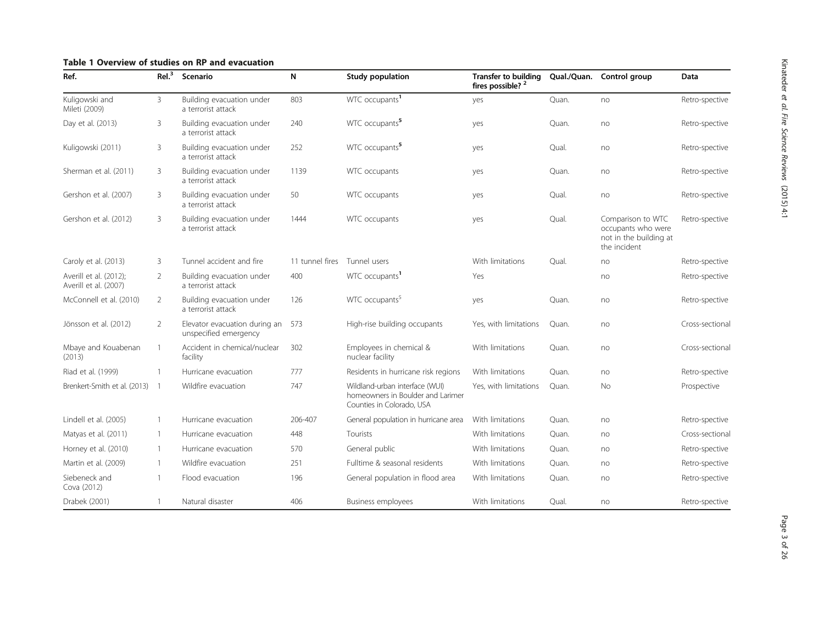# <span id="page-2-0"></span>Table 1 Overview of studies on RP and evacuation

| Ref.                                            | Rel. <sup>3</sup> | Scenario                                               | N               | <b>Study population</b>                                                                          | <b>Transfer to building</b><br>fires possible? <sup>2</sup> | Qual./Quan. | Control group                                                                     | Data            |
|-------------------------------------------------|-------------------|--------------------------------------------------------|-----------------|--------------------------------------------------------------------------------------------------|-------------------------------------------------------------|-------------|-----------------------------------------------------------------------------------|-----------------|
| Kuligowski and<br>Mileti (2009)                 | 3                 | Building evacuation under<br>a terrorist attack        | 803             | WTC occupants <sup>1</sup>                                                                       | yes                                                         | Quan.       | no                                                                                | Retro-spective  |
| Day et al. (2013)                               | 3                 | Building evacuation under<br>a terrorist attack        | 240             | WTC occupants <sup>5</sup>                                                                       | yes                                                         | Quan.       | no                                                                                | Retro-spective  |
| Kuligowski (2011)                               | 3                 | Building evacuation under<br>a terrorist attack        | 252             | WTC occupants <sup>5</sup>                                                                       | yes                                                         | Qual.       | no                                                                                | Retro-spective  |
| Sherman et al. (2011)                           | 3                 | Building evacuation under<br>a terrorist attack        | 1139            | WTC occupants                                                                                    | yes                                                         | Quan.       | no                                                                                | Retro-spective  |
| Gershon et al. (2007)                           | 3                 | Building evacuation under<br>a terrorist attack        | 50              | WTC occupants                                                                                    | yes                                                         | Qual.       | no                                                                                | Retro-spective  |
| Gershon et al. (2012)                           | 3                 | Building evacuation under<br>a terrorist attack        | 1444            | WTC occupants                                                                                    | yes                                                         | Qual.       | Comparison to WTC<br>occupants who were<br>not in the building at<br>the incident | Retro-spective  |
| Caroly et al. (2013)                            | 3                 | Tunnel accident and fire                               | 11 tunnel fires | Tunnel users                                                                                     | With limitations                                            | Qual.       | no                                                                                | Retro-spective  |
| Averill et al. (2012);<br>Averill et al. (2007) | 2                 | Building evacuation under<br>a terrorist attack        | 400             | WTC occupants <sup>1</sup>                                                                       | Yes                                                         |             | no                                                                                | Retro-spective  |
| McConnell et al. (2010)                         | $\overline{2}$    | Building evacuation under<br>a terrorist attack        | 126             | WTC occupants <sup>5</sup>                                                                       | yes                                                         | Quan.       | no                                                                                | Retro-spective  |
| Jönsson et al. (2012)                           | $\overline{2}$    | Elevator evacuation during an<br>unspecified emergency | 573             | High-rise building occupants                                                                     | Yes, with limitations                                       | Quan.       | no                                                                                | Cross-sectional |
| Mbaye and Kouabenan<br>(2013)                   | 1                 | Accident in chemical/nuclear<br>facility               | 302             | Employees in chemical &<br>nuclear facility                                                      | With limitations                                            | Quan.       | no                                                                                | Cross-sectional |
| Riad et al. (1999)                              | 1                 | Hurricane evacuation                                   | 777             | Residents in hurricane risk regions                                                              | With limitations                                            | Quan.       | no                                                                                | Retro-spective  |
| Brenkert-Smith et al. (2013)                    | $\overline{1}$    | Wildfire evacuation                                    | 747             | Wildland-urban interface (WUI)<br>homeowners in Boulder and Larimer<br>Counties in Colorado, USA | Yes, with limitations                                       | Ouan.       | N <sub>o</sub>                                                                    | Prospective     |
| Lindell et al. (2005)                           | $\mathbf{1}$      | Hurricane evacuation                                   | 206-407         | General population in hurricane area                                                             | With limitations                                            | Quan.       | no                                                                                | Retro-spective  |
| Matyas et al. (2011)                            | $\mathbf{1}$      | Hurricane evacuation                                   | 448             | Tourists                                                                                         | With limitations                                            | Quan.       | no                                                                                | Cross-sectional |
| Horney et al. (2010)                            | $\mathbf{1}$      | Hurricane evacuation                                   | 570             | General public                                                                                   | With limitations                                            | Quan.       | no                                                                                | Retro-spective  |
| Martin et al. (2009)                            | $\mathbf{1}$      | Wildfire evacuation                                    | 251             | Fulltime & seasonal residents                                                                    | With limitations                                            | Quan.       | no                                                                                | Retro-spective  |
| Siebeneck and<br>Cova (2012)                    | $\mathbf{1}$      | Flood evacuation                                       | 196             | General population in flood area                                                                 | With limitations                                            | Quan.       | no                                                                                | Retro-spective  |
| Drabek (2001)                                   | 1                 | Natural disaster                                       | 406             | <b>Business employees</b>                                                                        | With limitations                                            | Qual.       | no                                                                                | Retro-spective  |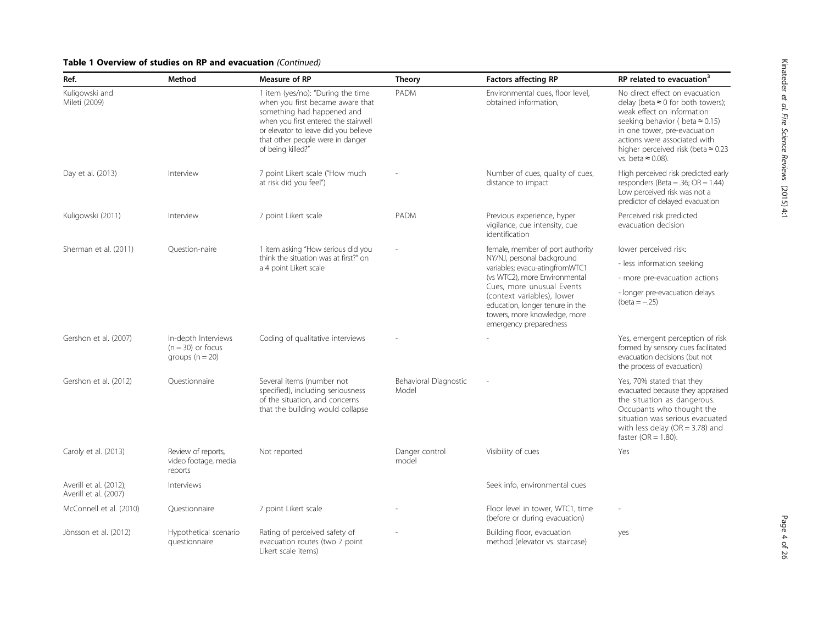# Table 1 Overview of studies on RP and evacuation (Continued)

| Ref.                                            | Method                                                          | <b>Measure of RP</b>                                                                                                                                                                                                                         | <b>Theory</b>                  | <b>Factors affecting RP</b>                                                                                                                                    | RP related to evacuation <sup>3</sup>                                                                                                                                                                                                                                                           |
|-------------------------------------------------|-----------------------------------------------------------------|----------------------------------------------------------------------------------------------------------------------------------------------------------------------------------------------------------------------------------------------|--------------------------------|----------------------------------------------------------------------------------------------------------------------------------------------------------------|-------------------------------------------------------------------------------------------------------------------------------------------------------------------------------------------------------------------------------------------------------------------------------------------------|
| Kuligowski and<br>Mileti (2009)                 |                                                                 | 1 item (yes/no): "During the time<br>when you first became aware that<br>something had happened and<br>when you first entered the stairwell<br>or elevator to leave did you believe<br>that other people were in danger<br>of being killed?" | PADM                           | Environmental cues, floor level,<br>obtained information.                                                                                                      | No direct effect on evacuation<br>delay (beta $\approx$ 0 for both towers);<br>weak effect on information<br>seeking behavior (beta $\approx 0.15$ )<br>in one tower, pre-evacuation<br>actions were associated with<br>higher perceived risk (beta $\approx 0.23$<br>vs. beta $\approx$ 0.08). |
| Day et al. (2013)                               | Interview                                                       | 7 point Likert scale ("How much<br>at risk did you feel")                                                                                                                                                                                    |                                | Number of cues, quality of cues,<br>distance to impact                                                                                                         | High perceived risk predicted early<br>responders (Beta = .36; $OR = 1.44$ )<br>Low perceived risk was not a<br>predictor of delayed evacuation                                                                                                                                                 |
| Kuligowski (2011)                               | Interview                                                       | 7 point Likert scale                                                                                                                                                                                                                         | PADM                           | Previous experience, hyper<br>vigilance, cue intensity, cue<br>identification                                                                                  | Perceived risk predicted<br>evacuation decision                                                                                                                                                                                                                                                 |
| Sherman et al. (2011)                           | Ouestion-naire                                                  | 1 item asking "How serious did you<br>think the situation was at first?" on<br>a 4 point Likert scale                                                                                                                                        |                                | female, member of port authority<br>NY/NJ, personal background<br>variables; evacu-atingfromWTC1<br>(vs WTC2), more Environmental<br>Cues, more unusual Events | lower perceived risk:                                                                                                                                                                                                                                                                           |
|                                                 |                                                                 |                                                                                                                                                                                                                                              |                                |                                                                                                                                                                | - less information seeking                                                                                                                                                                                                                                                                      |
|                                                 |                                                                 |                                                                                                                                                                                                                                              |                                |                                                                                                                                                                | - more pre-evacuation actions                                                                                                                                                                                                                                                                   |
|                                                 |                                                                 |                                                                                                                                                                                                                                              |                                | (context variables), lower<br>education, longer tenure in the<br>towers, more knowledge, more<br>emergency preparedness                                        | - longer pre-evacuation delays<br>$(beta = -.25)$                                                                                                                                                                                                                                               |
| Gershon et al. (2007)                           | In-depth Interviews<br>$(n = 30)$ or focus<br>groups $(n = 20)$ | Coding of qualitative interviews                                                                                                                                                                                                             |                                |                                                                                                                                                                | Yes, emergent perception of risk<br>formed by sensory cues facilitated<br>evacuation decisions (but not<br>the process of evacuation)                                                                                                                                                           |
| Gershon et al. (2012)                           | Ouestionnaire                                                   | Several items (number not<br>specified), including seriousness<br>of the situation, and concerns<br>that the building would collapse                                                                                                         | Behavioral Diagnostic<br>Model |                                                                                                                                                                | Yes, 70% stated that they<br>evacuated because they appraised<br>the situation as dangerous.<br>Occupants who thought the<br>situation was serious evacuated<br>with less delay ( $OR = 3.78$ ) and<br>faster ( $OR = 1.80$ ).                                                                  |
| Caroly et al. (2013)                            | Review of reports,<br>video footage, media<br>reports           | Not reported                                                                                                                                                                                                                                 | Danger control<br>model        | Visibility of cues                                                                                                                                             | Yes                                                                                                                                                                                                                                                                                             |
| Averill et al. (2012);<br>Averill et al. (2007) | Interviews                                                      |                                                                                                                                                                                                                                              |                                | Seek info, environmental cues                                                                                                                                  |                                                                                                                                                                                                                                                                                                 |
| McConnell et al. (2010)                         | Questionnaire                                                   | 7 point Likert scale                                                                                                                                                                                                                         |                                | Floor level in tower, WTC1, time<br>(before or during evacuation)                                                                                              |                                                                                                                                                                                                                                                                                                 |
| Jönsson et al. (2012)                           | Hypothetical scenario<br>questionnaire                          | Rating of perceived safety of<br>evacuation routes (two 7 point<br>Likert scale items)                                                                                                                                                       |                                | Building floor, evacuation<br>method (elevator vs. staircase)                                                                                                  | yes                                                                                                                                                                                                                                                                                             |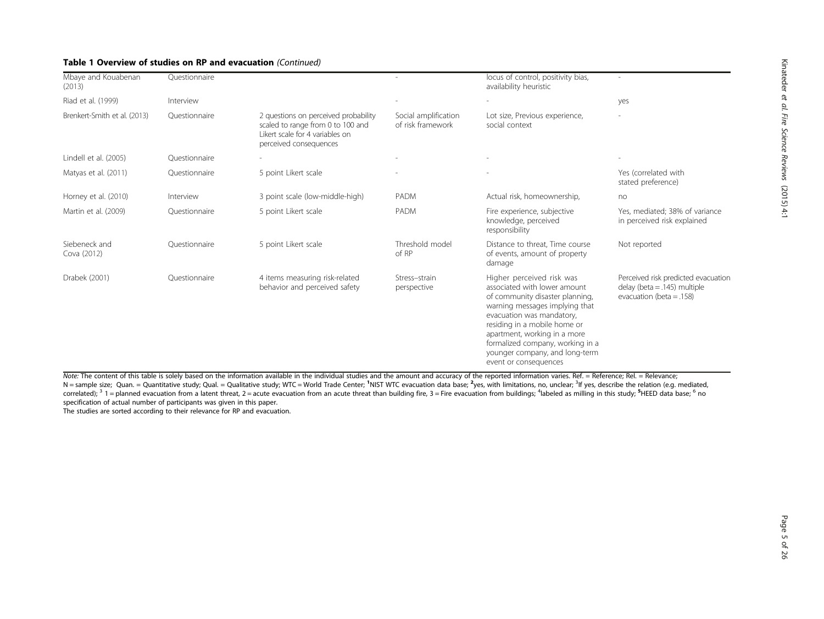# Table 1 Overview of studies on RP and evacuation (Continued)

| Mbaye and Kouabenan<br>(2013) | Questionnaire |                                                                                                                                        |                                           | locus of control, positivity bias,<br>availability heuristic                                                                                                                                                                                                                                                               | ٠                                                                                                     |
|-------------------------------|---------------|----------------------------------------------------------------------------------------------------------------------------------------|-------------------------------------------|----------------------------------------------------------------------------------------------------------------------------------------------------------------------------------------------------------------------------------------------------------------------------------------------------------------------------|-------------------------------------------------------------------------------------------------------|
| Riad et al. (1999)            | Interview     |                                                                                                                                        |                                           |                                                                                                                                                                                                                                                                                                                            | yes                                                                                                   |
| Brenkert-Smith et al. (2013)  | Ouestionnaire | 2 questions on perceived probability<br>scaled to range from 0 to 100 and<br>Likert scale for 4 variables on<br>perceived consequences | Social amplification<br>of risk framework | Lot size, Previous experience,<br>social context                                                                                                                                                                                                                                                                           |                                                                                                       |
| Lindell et al. (2005)         | Ouestionnaire |                                                                                                                                        |                                           |                                                                                                                                                                                                                                                                                                                            |                                                                                                       |
| Matyas et al. (2011)          | Questionnaire | 5 point Likert scale                                                                                                                   |                                           |                                                                                                                                                                                                                                                                                                                            | Yes (correlated with<br>stated preference)                                                            |
| Horney et al. (2010)          | Interview     | 3 point scale (low-middle-high)                                                                                                        | PADM                                      | Actual risk, homeownership,                                                                                                                                                                                                                                                                                                | no                                                                                                    |
| Martin et al. (2009)          | Questionnaire | 5 point Likert scale                                                                                                                   | PADM                                      | Fire experience, subjective<br>knowledge, perceived<br>responsibility                                                                                                                                                                                                                                                      | Yes, mediated; 38% of variance<br>in perceived risk explained                                         |
| Siebeneck and<br>Cova (2012)  | Questionnaire | 5 point Likert scale                                                                                                                   | Threshold model<br>of RP                  | Distance to threat, Time course<br>of events, amount of property<br>damage                                                                                                                                                                                                                                                 | Not reported                                                                                          |
| Drabek (2001)                 | Ouestionnaire | 4 items measuring risk-related<br>behavior and perceived safety                                                                        | Stress-strain<br>perspective              | Higher perceived risk was<br>associated with lower amount<br>of community disaster planning,<br>warning messages implying that<br>evacuation was mandatory,<br>residing in a mobile home or<br>apartment, working in a more<br>formalized company, working in a<br>younger company, and long-term<br>event or consequences | Perceived risk predicted evacuation<br>delay (beta = $.145$ ) multiple<br>evacuation (beta = $.158$ ) |

Note: The content of this table is solely based on the information available in the individual studies and the amount and accuracy of the reported information varies. Ref. = Reference; Rel. = Relevance; N = sample size; Quan. = Quantitative study; Qual. = Qualitative study; WTC = World Trade Center; 1NIST WTC evacuation data base; <sup>2</sup>yes, with limitations, no, unclear; <sup>3</sup>lf yes, describe the relation (e.g. mediated, correlated); <sup>3</sup> 1 = planned evacuation from a latent threat, 2 = acute evacuation from an acute threat than building fire, 3 = Fire evacuation from buildings; <sup>4</sup>labeled as milling in this study; <sup>5</sup>HEED data base; <sup>6</sup> no specification of actual number of participants was given in this paper.

The studies are sorted according to their relevance for RP and evacuation.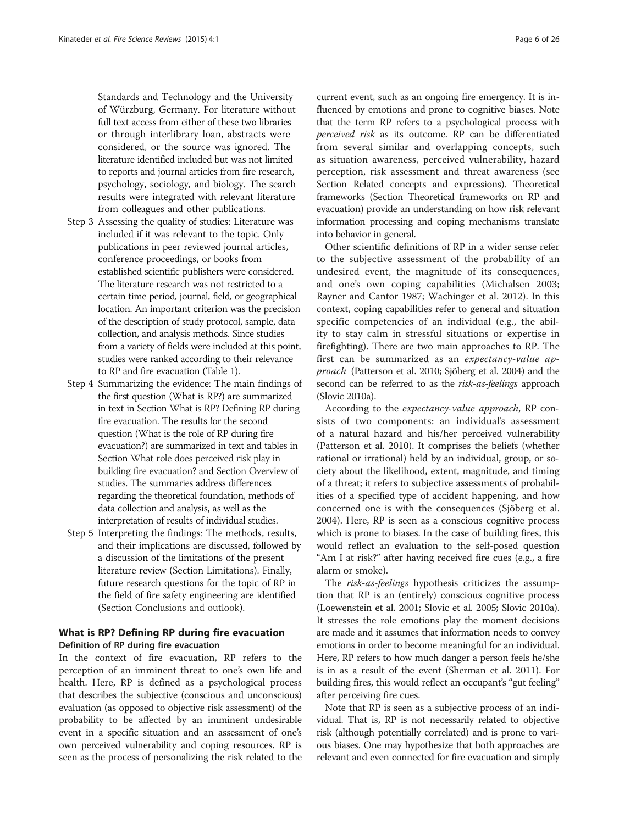Standards and Technology and the University of Würzburg, Germany. For literature without full text access from either of these two libraries or through interlibrary loan, abstracts were considered, or the source was ignored. The literature identified included but was not limited to reports and journal articles from fire research, psychology, sociology, and biology. The search results were integrated with relevant literature from colleagues and other publications.

- Step 3 Assessing the quality of studies: Literature was included if it was relevant to the topic. Only publications in peer reviewed journal articles, conference proceedings, or books from established scientific publishers were considered. The literature research was not restricted to a certain time period, journal, field, or geographical location. An important criterion was the precision of the description of study protocol, sample, data collection, and analysis methods. Since studies from a variety of fields were included at this point, studies were ranked according to their relevance to RP and fire evacuation (Table [1](#page-2-0)).
- Step 4 Summarizing the evidence: The main findings of the first question (What is RP?) are summarized in text in Section What is RP? Defining RP during fire evacuation. The results for the second question (What is the role of RP during fire evacuation?) are summarized in text and tables in Section [What role does perceived risk play in](#page-13-0) [building fire evacuation?](#page-13-0) and Section [Overview of](#page-20-0) [studies.](#page-20-0) The summaries address differences regarding the theoretical foundation, methods of data collection and analysis, as well as the interpretation of results of individual studies.
- Step 5 Interpreting the findings: The methods, results, and their implications are discussed, followed by a discussion of the limitations of the present literature review (Section [Limitations](#page-20-0)). Finally, future research questions for the topic of RP in the field of fire safety engineering are identified (Section [Conclusions and outlook](#page-21-0)).

# What is RP? Defining RP during fire evacuation Definition of RP during fire evacuation

In the context of fire evacuation, RP refers to the perception of an imminent threat to one's own life and health. Here, RP is defined as a psychological process that describes the subjective (conscious and unconscious) evaluation (as opposed to objective risk assessment) of the probability to be affected by an imminent undesirable event in a specific situation and an assessment of one's own perceived vulnerability and coping resources. RP is seen as the process of personalizing the risk related to the

current event, such as an ongoing fire emergency. It is influenced by emotions and prone to cognitive biases. Note that the term RP refers to a psychological process with perceived risk as its outcome. RP can be differentiated from several similar and overlapping concepts, such as situation awareness, perceived vulnerability, hazard perception, risk assessment and threat awareness (see Section [Related concepts and expressions](#page-7-0)). Theoretical frameworks (Section [Theoretical frameworks on RP and](#page-8-0) [evacuation](#page-8-0)) provide an understanding on how risk relevant information processing and coping mechanisms translate into behavior in general.

Other scientific definitions of RP in a wider sense refer to the subjective assessment of the probability of an undesired event, the magnitude of its consequences, and one's own coping capabilities (Michalsen [2003](#page-23-0); Rayner and Cantor [1987](#page-24-0); Wachinger et al. [2012](#page-24-0)). In this context, coping capabilities refer to general and situation specific competencies of an individual (e.g., the ability to stay calm in stressful situations or expertise in firefighting). There are two main approaches to RP. The first can be summarized as an expectancy-value approach (Patterson et al. [2010;](#page-24-0) Sjöberg et al. [2004\)](#page-24-0) and the second can be referred to as the risk-as-feelings approach (Slovic [2010a\)](#page-24-0).

According to the expectancy-value approach, RP consists of two components: an individual's assessment of a natural hazard and his/her perceived vulnerability (Patterson et al. [2010](#page-24-0)). It comprises the beliefs (whether rational or irrational) held by an individual, group, or society about the likelihood, extent, magnitude, and timing of a threat; it refers to subjective assessments of probabilities of a specified type of accident happening, and how concerned one is with the consequences (Sjöberg et al. [2004](#page-24-0)). Here, RP is seen as a conscious cognitive process which is prone to biases. In the case of building fires, this would reflect an evaluation to the self-posed question "Am I at risk?" after having received fire cues (e.g., a fire alarm or smoke).

The risk-as-feelings hypothesis criticizes the assumption that RP is an (entirely) conscious cognitive process (Loewenstein et al. [2001](#page-23-0); Slovic et al. [2005;](#page-24-0) Slovic [2010a](#page-24-0)). It stresses the role emotions play the moment decisions are made and it assumes that information needs to convey emotions in order to become meaningful for an individual. Here, RP refers to how much danger a person feels he/she is in as a result of the event (Sherman et al. [2011\)](#page-24-0). For building fires, this would reflect an occupant's "gut feeling" after perceiving fire cues.

Note that RP is seen as a subjective process of an individual. That is, RP is not necessarily related to objective risk (although potentially correlated) and is prone to various biases. One may hypothesize that both approaches are relevant and even connected for fire evacuation and simply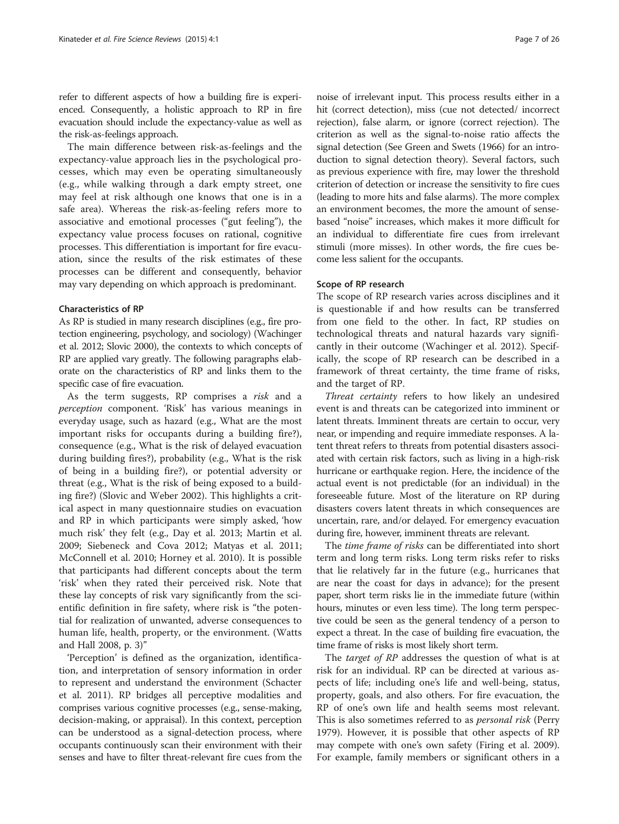refer to different aspects of how a building fire is experienced. Consequently, a holistic approach to RP in fire evacuation should include the expectancy-value as well as the risk-as-feelings approach.

The main difference between risk-as-feelings and the expectancy-value approach lies in the psychological processes, which may even be operating simultaneously (e.g., while walking through a dark empty street, one may feel at risk although one knows that one is in a safe area). Whereas the risk-as-feeling refers more to associative and emotional processes ("gut feeling"), the expectancy value process focuses on rational, cognitive processes. This differentiation is important for fire evacuation, since the results of the risk estimates of these processes can be different and consequently, behavior may vary depending on which approach is predominant.

#### Characteristics of RP

As RP is studied in many research disciplines (e.g., fire protection engineering, psychology, and sociology) (Wachinger et al. [2012;](#page-24-0) Slovic [2000\)](#page-24-0), the contexts to which concepts of RP are applied vary greatly. The following paragraphs elaborate on the characteristics of RP and links them to the specific case of fire evacuation.

As the term suggests, RP comprises a risk and a perception component. 'Risk' has various meanings in everyday usage, such as hazard (e.g., What are the most important risks for occupants during a building fire?), consequence (e.g., What is the risk of delayed evacuation during building fires?), probability (e.g., What is the risk of being in a building fire?), or potential adversity or threat (e.g., What is the risk of being exposed to a building fire?) (Slovic and Weber [2002\)](#page-24-0). This highlights a critical aspect in many questionnaire studies on evacuation and RP in which participants were simply asked, 'how much risk' they felt (e.g., Day et al. [2013](#page-22-0); Martin et al. [2009](#page-23-0); Siebeneck and Cova [2012;](#page-24-0) Matyas et al. [2011](#page-23-0); McConnell et al. [2010](#page-23-0); Horney et al. [2010](#page-23-0)). It is possible that participants had different concepts about the term 'risk' when they rated their perceived risk. Note that these lay concepts of risk vary significantly from the scientific definition in fire safety, where risk is "the potential for realization of unwanted, adverse consequences to human life, health, property, or the environment. (Watts and Hall [2008](#page-24-0), p. 3)"

'Perception' is defined as the organization, identification, and interpretation of sensory information in order to represent and understand the environment (Schacter et al. [2011\)](#page-24-0). RP bridges all perceptive modalities and comprises various cognitive processes (e.g., sense-making, decision-making, or appraisal). In this context, perception can be understood as a signal-detection process, where occupants continuously scan their environment with their senses and have to filter threat-relevant fire cues from the

noise of irrelevant input. This process results either in a hit (correct detection), miss (cue not detected/ incorrect rejection), false alarm, or ignore (correct rejection). The criterion as well as the signal-to-noise ratio affects the signal detection (See Green and Swets ([1966\)](#page-22-0) for an introduction to signal detection theory). Several factors, such as previous experience with fire, may lower the threshold criterion of detection or increase the sensitivity to fire cues (leading to more hits and false alarms). The more complex an environment becomes, the more the amount of sensebased "noise" increases, which makes it more difficult for an individual to differentiate fire cues from irrelevant stimuli (more misses). In other words, the fire cues become less salient for the occupants.

#### Scope of RP research

The scope of RP research varies across disciplines and it is questionable if and how results can be transferred from one field to the other. In fact, RP studies on technological threats and natural hazards vary significantly in their outcome (Wachinger et al. [2012\)](#page-24-0). Specifically, the scope of RP research can be described in a framework of threat certainty, the time frame of risks, and the target of RP.

Threat certainty refers to how likely an undesired event is and threats can be categorized into imminent or latent threats. Imminent threats are certain to occur, very near, or impending and require immediate responses. A latent threat refers to threats from potential disasters associated with certain risk factors, such as living in a high-risk hurricane or earthquake region. Here, the incidence of the actual event is not predictable (for an individual) in the foreseeable future. Most of the literature on RP during disasters covers latent threats in which consequences are uncertain, rare, and/or delayed. For emergency evacuation during fire, however, imminent threats are relevant.

The time frame of risks can be differentiated into short term and long term risks. Long term risks refer to risks that lie relatively far in the future (e.g., hurricanes that are near the coast for days in advance); for the present paper, short term risks lie in the immediate future (within hours, minutes or even less time). The long term perspective could be seen as the general tendency of a person to expect a threat. In the case of building fire evacuation, the time frame of risks is most likely short term.

The *target of RP* addresses the question of what is at risk for an individual. RP can be directed at various aspects of life; including one's life and well-being, status, property, goals, and also others. For fire evacuation, the RP of one's own life and health seems most relevant. This is also sometimes referred to as *personal risk* (Perry [1979](#page-24-0)). However, it is possible that other aspects of RP may compete with one's own safety (Firing et al. [2009](#page-22-0)). For example, family members or significant others in a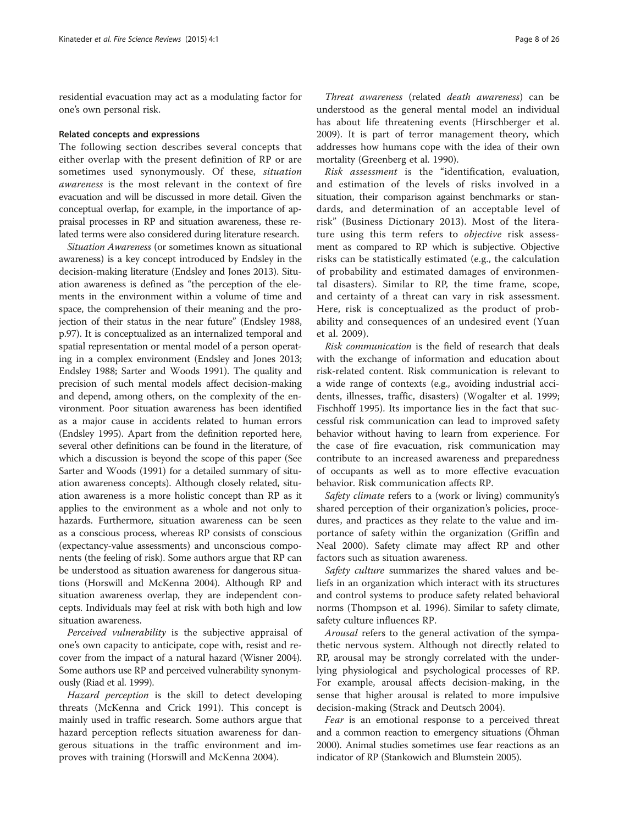<span id="page-7-0"></span>residential evacuation may act as a modulating factor for one's own personal risk.

#### Related concepts and expressions

The following section describes several concepts that either overlap with the present definition of RP or are sometimes used synonymously. Of these, situation awareness is the most relevant in the context of fire evacuation and will be discussed in more detail. Given the conceptual overlap, for example, in the importance of appraisal processes in RP and situation awareness, these related terms were also considered during literature research.

Situation Awareness (or sometimes known as situational awareness) is a key concept introduced by Endsley in the decision-making literature (Endsley and Jones [2013](#page-22-0)). Situation awareness is defined as "the perception of the elements in the environment within a volume of time and space, the comprehension of their meaning and the projection of their status in the near future" (Endsley [1988](#page-22-0), p.97). It is conceptualized as an internalized temporal and spatial representation or mental model of a person operating in a complex environment (Endsley and Jones [2013](#page-22-0); Endsley [1988;](#page-22-0) Sarter and Woods [1991](#page-24-0)). The quality and precision of such mental models affect decision-making and depend, among others, on the complexity of the environment. Poor situation awareness has been identified as a major cause in accidents related to human errors (Endsley [1995\)](#page-22-0). Apart from the definition reported here, several other definitions can be found in the literature, of which a discussion is beyond the scope of this paper (See Sarter and Woods [\(1991\)](#page-24-0) for a detailed summary of situation awareness concepts). Although closely related, situation awareness is a more holistic concept than RP as it applies to the environment as a whole and not only to hazards. Furthermore, situation awareness can be seen as a conscious process, whereas RP consists of conscious (expectancy-value assessments) and unconscious components (the feeling of risk). Some authors argue that RP can be understood as situation awareness for dangerous situations (Horswill and McKenna [2004](#page-23-0)). Although RP and situation awareness overlap, they are independent concepts. Individuals may feel at risk with both high and low situation awareness.

Perceived vulnerability is the subjective appraisal of one's own capacity to anticipate, cope with, resist and recover from the impact of a natural hazard (Wisner [2004](#page-24-0)). Some authors use RP and perceived vulnerability synonymously (Riad et al. [1999](#page-24-0)).

Hazard perception is the skill to detect developing threats (McKenna and Crick [1991\)](#page-23-0). This concept is mainly used in traffic research. Some authors argue that hazard perception reflects situation awareness for dangerous situations in the traffic environment and improves with training (Horswill and McKenna [2004\)](#page-23-0).

Threat awareness (related death awareness) can be understood as the general mental model an individual has about life threatening events (Hirschberger et al. [2009](#page-23-0)). It is part of terror management theory, which addresses how humans cope with the idea of their own mortality (Greenberg et al. [1990](#page-22-0)).

Risk assessment is the "identification, evaluation, and estimation of the levels of risks involved in a situation, their comparison against benchmarks or standards, and determination of an acceptable level of risk" (Business Dictionary [2013\)](#page-22-0). Most of the literature using this term refers to objective risk assessment as compared to RP which is subjective. Objective risks can be statistically estimated (e.g., the calculation of probability and estimated damages of environmental disasters). Similar to RP, the time frame, scope, and certainty of a threat can vary in risk assessment. Here, risk is conceptualized as the product of probability and consequences of an undesired event (Yuan et al. [2009](#page-25-0)).

Risk communication is the field of research that deals with the exchange of information and education about risk-related content. Risk communication is relevant to a wide range of contexts (e.g., avoiding industrial accidents, illnesses, traffic, disasters) (Wogalter et al. [1999](#page-24-0); Fischhoff [1995](#page-22-0)). Its importance lies in the fact that successful risk communication can lead to improved safety behavior without having to learn from experience. For the case of fire evacuation, risk communication may contribute to an increased awareness and preparedness of occupants as well as to more effective evacuation behavior. Risk communication affects RP.

Safety climate refers to a (work or living) community's shared perception of their organization's policies, procedures, and practices as they relate to the value and importance of safety within the organization (Griffin and Neal [2000](#page-22-0)). Safety climate may affect RP and other factors such as situation awareness.

Safety culture summarizes the shared values and beliefs in an organization which interact with its structures and control systems to produce safety related behavioral norms (Thompson et al. [1996](#page-24-0)). Similar to safety climate, safety culture influences RP.

Arousal refers to the general activation of the sympathetic nervous system. Although not directly related to RP, arousal may be strongly correlated with the underlying physiological and psychological processes of RP. For example, arousal affects decision-making, in the sense that higher arousal is related to more impulsive decision-making (Strack and Deutsch [2004\)](#page-24-0).

Fear is an emotional response to a perceived threat and a common reaction to emergency situations (Öhman [2000\)](#page-24-0). Animal studies sometimes use fear reactions as an indicator of RP (Stankowich and Blumstein [2005\)](#page-24-0).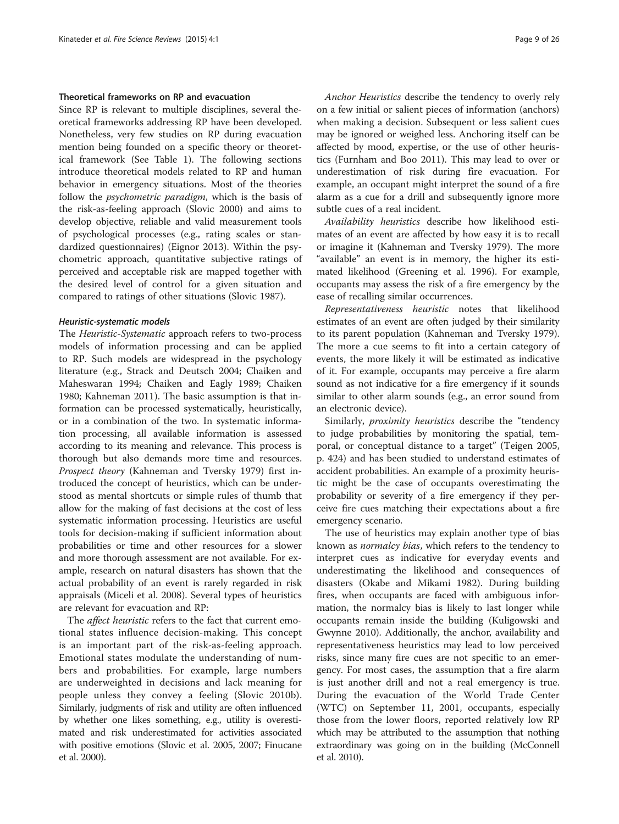#### <span id="page-8-0"></span>Theoretical frameworks on RP and evacuation

Since RP is relevant to multiple disciplines, several theoretical frameworks addressing RP have been developed. Nonetheless, very few studies on RP during evacuation mention being founded on a specific theory or theoretical framework (See Table [1](#page-2-0)). The following sections introduce theoretical models related to RP and human behavior in emergency situations. Most of the theories follow the psychometric paradigm, which is the basis of the risk-as-feeling approach (Slovic [2000\)](#page-24-0) and aims to develop objective, reliable and valid measurement tools of psychological processes (e.g., rating scales or standardized questionnaires) (Eignor [2013](#page-22-0)). Within the psychometric approach, quantitative subjective ratings of perceived and acceptable risk are mapped together with the desired level of control for a given situation and compared to ratings of other situations (Slovic [1987\)](#page-24-0).

#### Heuristic-systematic models

The Heuristic-Systematic approach refers to two-process models of information processing and can be applied to RP. Such models are widespread in the psychology literature (e.g., Strack and Deutsch [2004](#page-24-0); Chaiken and Maheswaran [1994;](#page-22-0) Chaiken and Eagly [1989;](#page-22-0) Chaiken [1980](#page-22-0); Kahneman [2011\)](#page-23-0). The basic assumption is that information can be processed systematically, heuristically, or in a combination of the two. In systematic information processing, all available information is assessed according to its meaning and relevance. This process is thorough but also demands more time and resources. Prospect theory (Kahneman and Tversky [1979\)](#page-23-0) first introduced the concept of heuristics, which can be understood as mental shortcuts or simple rules of thumb that allow for the making of fast decisions at the cost of less systematic information processing. Heuristics are useful tools for decision-making if sufficient information about probabilities or time and other resources for a slower and more thorough assessment are not available. For example, research on natural disasters has shown that the actual probability of an event is rarely regarded in risk appraisals (Miceli et al. [2008\)](#page-23-0). Several types of heuristics are relevant for evacuation and RP:

The *affect heuristic* refers to the fact that current emotional states influence decision-making. This concept is an important part of the risk-as-feeling approach. Emotional states modulate the understanding of numbers and probabilities. For example, large numbers are underweighted in decisions and lack meaning for people unless they convey a feeling (Slovic [2010b](#page-24-0)). Similarly, judgments of risk and utility are often influenced by whether one likes something, e.g., utility is overestimated and risk underestimated for activities associated with positive emotions (Slovic et al. [2005](#page-24-0), [2007;](#page-24-0) Finucane et al. [2000\)](#page-22-0).

Anchor Heuristics describe the tendency to overly rely on a few initial or salient pieces of information (anchors) when making a decision. Subsequent or less salient cues may be ignored or weighed less. Anchoring itself can be affected by mood, expertise, or the use of other heuristics (Furnham and Boo [2011\)](#page-22-0). This may lead to over or underestimation of risk during fire evacuation. For example, an occupant might interpret the sound of a fire alarm as a cue for a drill and subsequently ignore more subtle cues of a real incident.

Availability heuristics describe how likelihood estimates of an event are affected by how easy it is to recall or imagine it (Kahneman and Tversky [1979\)](#page-23-0). The more "available" an event is in memory, the higher its estimated likelihood (Greening et al. [1996](#page-22-0)). For example, occupants may assess the risk of a fire emergency by the ease of recalling similar occurrences.

Representativeness heuristic notes that likelihood estimates of an event are often judged by their similarity to its parent population (Kahneman and Tversky [1979](#page-23-0)). The more a cue seems to fit into a certain category of events, the more likely it will be estimated as indicative of it. For example, occupants may perceive a fire alarm sound as not indicative for a fire emergency if it sounds similar to other alarm sounds (e.g., an error sound from an electronic device).

Similarly, proximity heuristics describe the "tendency to judge probabilities by monitoring the spatial, temporal, or conceptual distance to a target" (Teigen [2005](#page-24-0), p. 424) and has been studied to understand estimates of accident probabilities. An example of a proximity heuristic might be the case of occupants overestimating the probability or severity of a fire emergency if they perceive fire cues matching their expectations about a fire emergency scenario.

The use of heuristics may explain another type of bias known as normalcy bias, which refers to the tendency to interpret cues as indicative for everyday events and underestimating the likelihood and consequences of disasters (Okabe and Mikami [1982](#page-24-0)). During building fires, when occupants are faced with ambiguous information, the normalcy bias is likely to last longer while occupants remain inside the building (Kuligowski and Gwynne [2010\)](#page-23-0). Additionally, the anchor, availability and representativeness heuristics may lead to low perceived risks, since many fire cues are not specific to an emergency. For most cases, the assumption that a fire alarm is just another drill and not a real emergency is true. During the evacuation of the World Trade Center (WTC) on September 11, 2001, occupants, especially those from the lower floors, reported relatively low RP which may be attributed to the assumption that nothing extraordinary was going on in the building (McConnell et al. [2010\)](#page-23-0).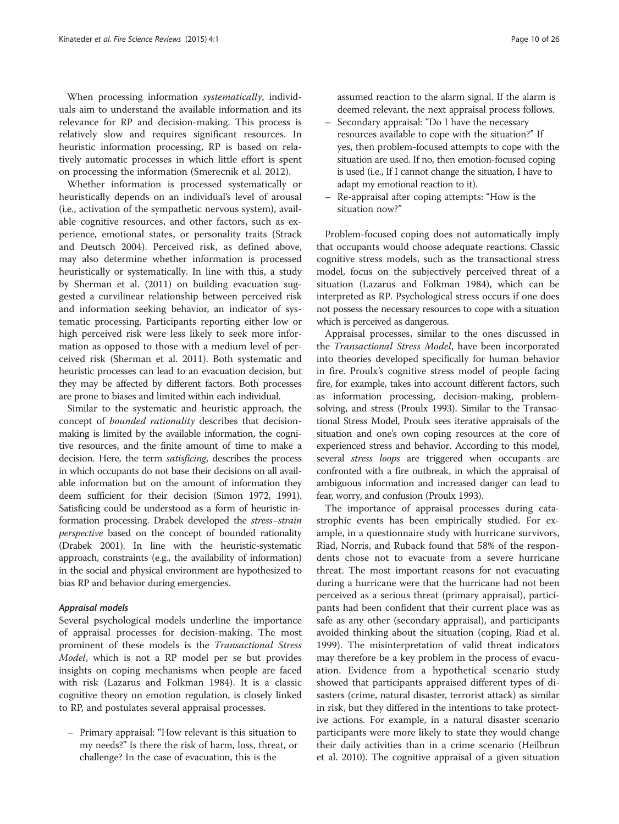When processing information systematically, individuals aim to understand the available information and its relevance for RP and decision-making. This process is relatively slow and requires significant resources. In heuristic information processing, RP is based on relatively automatic processes in which little effort is spent on processing the information (Smerecnik et al. [2012\)](#page-24-0).

Whether information is processed systematically or heuristically depends on an individual's level of arousal (i.e., activation of the sympathetic nervous system), available cognitive resources, and other factors, such as experience, emotional states, or personality traits (Strack and Deutsch [2004](#page-24-0)). Perceived risk, as defined above, may also determine whether information is processed heuristically or systematically. In line with this, a study by Sherman et al. ([2011](#page-24-0)) on building evacuation suggested a curvilinear relationship between perceived risk and information seeking behavior, an indicator of systematic processing. Participants reporting either low or high perceived risk were less likely to seek more information as opposed to those with a medium level of perceived risk (Sherman et al. [2011](#page-24-0)). Both systematic and heuristic processes can lead to an evacuation decision, but they may be affected by different factors. Both processes are prone to biases and limited within each individual.

Similar to the systematic and heuristic approach, the concept of bounded rationality describes that decisionmaking is limited by the available information, the cognitive resources, and the finite amount of time to make a decision. Here, the term satisficing, describes the process in which occupants do not base their decisions on all available information but on the amount of information they deem sufficient for their decision (Simon [1972, 1991](#page-24-0)). Satisficing could be understood as a form of heuristic information processing. Drabek developed the stress–strain perspective based on the concept of bounded rationality (Drabek [2001](#page-22-0)). In line with the heuristic-systematic approach, constraints (e.g., the availability of information) in the social and physical environment are hypothesized to bias RP and behavior during emergencies.

#### Appraisal models

Several psychological models underline the importance of appraisal processes for decision-making. The most prominent of these models is the Transactional Stress Model, which is not a RP model per se but provides insights on coping mechanisms when people are faced with risk (Lazarus and Folkman [1984](#page-23-0)). It is a classic cognitive theory on emotion regulation, is closely linked to RP, and postulates several appraisal processes.

– Primary appraisal: "How relevant is this situation to my needs?" Is there the risk of harm, loss, threat, or challenge? In the case of evacuation, this is the

assumed reaction to the alarm signal. If the alarm is deemed relevant, the next appraisal process follows.

- Secondary appraisal: "Do I have the necessary resources available to cope with the situation?" If yes, then problem-focused attempts to cope with the situation are used. If no, then emotion-focused coping is used (i.e., If I cannot change the situation, I have to adapt my emotional reaction to it).
- Re-appraisal after coping attempts: "How is the situation now?"

Problem-focused coping does not automatically imply that occupants would choose adequate reactions. Classic cognitive stress models, such as the transactional stress model, focus on the subjectively perceived threat of a situation (Lazarus and Folkman [1984](#page-23-0)), which can be interpreted as RP. Psychological stress occurs if one does not possess the necessary resources to cope with a situation which is perceived as dangerous.

Appraisal processes, similar to the ones discussed in the Transactional Stress Model, have been incorporated into theories developed specifically for human behavior in fire. Proulx's cognitive stress model of people facing fire, for example, takes into account different factors, such as information processing, decision-making, problemsolving, and stress (Proulx [1993\)](#page-24-0). Similar to the Transactional Stress Model, Proulx sees iterative appraisals of the situation and one's own coping resources at the core of experienced stress and behavior. According to this model, several *stress loops* are triggered when occupants are confronted with a fire outbreak, in which the appraisal of ambiguous information and increased danger can lead to fear, worry, and confusion (Proulx [1993](#page-24-0)).

The importance of appraisal processes during catastrophic events has been empirically studied. For example, in a questionnaire study with hurricane survivors, Riad, Norris, and Ruback found that 58% of the respondents chose not to evacuate from a severe hurricane threat. The most important reasons for not evacuating during a hurricane were that the hurricane had not been perceived as a serious threat (primary appraisal), participants had been confident that their current place was as safe as any other (secondary appraisal), and participants avoided thinking about the situation (coping, Riad et al. [1999](#page-24-0)). The misinterpretation of valid threat indicators may therefore be a key problem in the process of evacuation. Evidence from a hypothetical scenario study showed that participants appraised different types of disasters (crime, natural disaster, terrorist attack) as similar in risk, but they differed in the intentions to take protective actions. For example, in a natural disaster scenario participants were more likely to state they would change their daily activities than in a crime scenario (Heilbrun et al. [2010](#page-23-0)). The cognitive appraisal of a given situation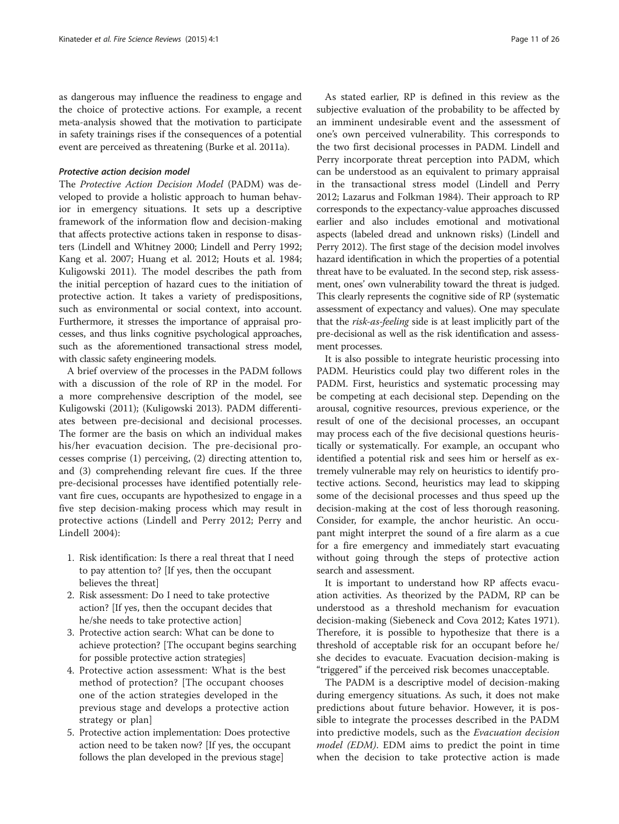as dangerous may influence the readiness to engage and the choice of protective actions. For example, a recent meta-analysis showed that the motivation to participate in safety trainings rises if the consequences of a potential event are perceived as threatening (Burke et al. [2011a\)](#page-22-0).

#### Protective action decision model

The Protective Action Decision Model (PADM) was developed to provide a holistic approach to human behavior in emergency situations. It sets up a descriptive framework of the information flow and decision-making that affects protective actions taken in response to disasters (Lindell and Whitney [2000](#page-23-0); Lindell and Perry [1992](#page-23-0); Kang et al. [2007](#page-23-0); Huang et al. [2012;](#page-23-0) Houts et al. [1984](#page-23-0); Kuligowski [2011](#page-23-0)). The model describes the path from the initial perception of hazard cues to the initiation of protective action. It takes a variety of predispositions, such as environmental or social context, into account. Furthermore, it stresses the importance of appraisal processes, and thus links cognitive psychological approaches, such as the aforementioned transactional stress model, with classic safety engineering models.

A brief overview of the processes in the PADM follows with a discussion of the role of RP in the model. For a more comprehensive description of the model, see Kuligowski ([2011](#page-23-0)); (Kuligowski [2013\)](#page-23-0). PADM differentiates between pre-decisional and decisional processes. The former are the basis on which an individual makes his/her evacuation decision. The pre-decisional processes comprise (1) perceiving, (2) directing attention to, and (3) comprehending relevant fire cues. If the three pre-decisional processes have identified potentially relevant fire cues, occupants are hypothesized to engage in a five step decision-making process which may result in protective actions (Lindell and Perry [2012;](#page-23-0) Perry and Lindell [2004](#page-24-0)):

- 1. Risk identification: Is there a real threat that I need to pay attention to? [If yes, then the occupant believes the threat]
- 2. Risk assessment: Do I need to take protective action? [If yes, then the occupant decides that he/she needs to take protective action]
- 3. Protective action search: What can be done to achieve protection? [The occupant begins searching for possible protective action strategies]
- 4. Protective action assessment: What is the best method of protection? [The occupant chooses one of the action strategies developed in the previous stage and develops a protective action strategy or plan]
- 5. Protective action implementation: Does protective action need to be taken now? [If yes, the occupant follows the plan developed in the previous stage]

As stated earlier, RP is defined in this review as the subjective evaluation of the probability to be affected by an imminent undesirable event and the assessment of one's own perceived vulnerability. This corresponds to the two first decisional processes in PADM. Lindell and Perry incorporate threat perception into PADM, which can be understood as an equivalent to primary appraisal in the transactional stress model (Lindell and Perry [2012](#page-23-0); Lazarus and Folkman [1984\)](#page-23-0). Their approach to RP corresponds to the expectancy-value approaches discussed earlier and also includes emotional and motivational aspects (labeled dread and unknown risks) (Lindell and Perry [2012](#page-23-0)). The first stage of the decision model involves hazard identification in which the properties of a potential threat have to be evaluated. In the second step, risk assessment, ones' own vulnerability toward the threat is judged. This clearly represents the cognitive side of RP (systematic assessment of expectancy and values). One may speculate that the risk-as-feeling side is at least implicitly part of the pre-decisional as well as the risk identification and assessment processes.

It is also possible to integrate heuristic processing into PADM. Heuristics could play two different roles in the PADM. First, heuristics and systematic processing may be competing at each decisional step. Depending on the arousal, cognitive resources, previous experience, or the result of one of the decisional processes, an occupant may process each of the five decisional questions heuristically or systematically. For example, an occupant who identified a potential risk and sees him or herself as extremely vulnerable may rely on heuristics to identify protective actions. Second, heuristics may lead to skipping some of the decisional processes and thus speed up the decision-making at the cost of less thorough reasoning. Consider, for example, the anchor heuristic. An occupant might interpret the sound of a fire alarm as a cue for a fire emergency and immediately start evacuating without going through the steps of protective action search and assessment.

It is important to understand how RP affects evacuation activities. As theorized by the PADM, RP can be understood as a threshold mechanism for evacuation decision-making (Siebeneck and Cova [2012](#page-24-0); Kates [1971](#page-23-0)). Therefore, it is possible to hypothesize that there is a threshold of acceptable risk for an occupant before he/ she decides to evacuate. Evacuation decision-making is "triggered" if the perceived risk becomes unacceptable.

The PADM is a descriptive model of decision-making during emergency situations. As such, it does not make predictions about future behavior. However, it is possible to integrate the processes described in the PADM into predictive models, such as the Evacuation decision model (EDM). EDM aims to predict the point in time when the decision to take protective action is made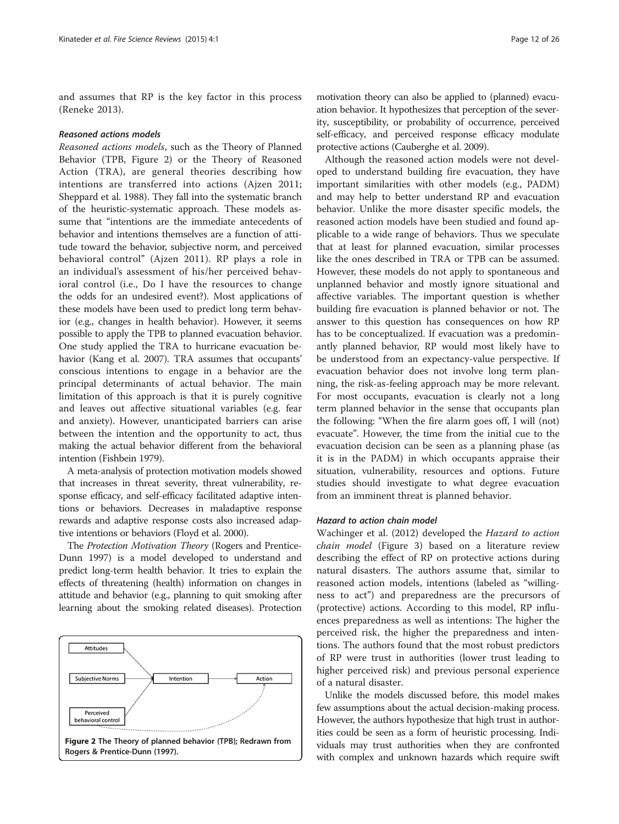and assumes that RP is the key factor in this process (Reneke [2013\)](#page-24-0).

#### Reasoned actions models

Reasoned actions models, such as the Theory of Planned Behavior (TPB, Figure 2) or the Theory of Reasoned Action (TRA), are general theories describing how intentions are transferred into actions (Ajzen [2011](#page-22-0); Sheppard et al. [1988](#page-24-0)). They fall into the systematic branch of the heuristic-systematic approach. These models assume that "intentions are the immediate antecedents of behavior and intentions themselves are a function of attitude toward the behavior, subjective norm, and perceived behavioral control" (Ajzen [2011](#page-22-0)). RP plays a role in an individual's assessment of his/her perceived behavioral control (i.e., Do I have the resources to change the odds for an undesired event?). Most applications of these models have been used to predict long term behavior (e.g., changes in health behavior). However, it seems possible to apply the TPB to planned evacuation behavior. One study applied the TRA to hurricane evacuation behavior (Kang et al. [2007\)](#page-23-0). TRA assumes that occupants' conscious intentions to engage in a behavior are the principal determinants of actual behavior. The main limitation of this approach is that it is purely cognitive and leaves out affective situational variables (e.g. fear and anxiety). However, unanticipated barriers can arise between the intention and the opportunity to act, thus making the actual behavior different from the behavioral intention (Fishbein [1979\)](#page-22-0).

A meta-analysis of protection motivation models showed that increases in threat severity, threat vulnerability, response efficacy, and self-efficacy facilitated adaptive intentions or behaviors. Decreases in maladaptive response rewards and adaptive response costs also increased adaptive intentions or behaviors (Floyd et al. [2000](#page-22-0)).

The Protection Motivation Theory (Rogers and Prentice-Dunn [1997](#page-24-0)) is a model developed to understand and predict long-term health behavior. It tries to explain the effects of threatening (health) information on changes in attitude and behavior (e.g., planning to quit smoking after learning about the smoking related diseases). Protection



motivation theory can also be applied to (planned) evacuation behavior. It hypothesizes that perception of the severity, susceptibility, or probability of occurrence, perceived self-efficacy, and perceived response efficacy modulate protective actions (Cauberghe et al. [2009\)](#page-22-0).

Although the reasoned action models were not developed to understand building fire evacuation, they have important similarities with other models (e.g., PADM) and may help to better understand RP and evacuation behavior. Unlike the more disaster specific models, the reasoned action models have been studied and found applicable to a wide range of behaviors. Thus we speculate that at least for planned evacuation, similar processes like the ones described in TRA or TPB can be assumed. However, these models do not apply to spontaneous and unplanned behavior and mostly ignore situational and affective variables. The important question is whether building fire evacuation is planned behavior or not. The answer to this question has consequences on how RP has to be conceptualized. If evacuation was a predominantly planned behavior, RP would most likely have to be understood from an expectancy-value perspective. If evacuation behavior does not involve long term planning, the risk-as-feeling approach may be more relevant. For most occupants, evacuation is clearly not a long term planned behavior in the sense that occupants plan the following: "When the fire alarm goes off, I will (not) evacuate". However, the time from the initial cue to the evacuation decision can be seen as a planning phase (as it is in the PADM) in which occupants appraise their situation, vulnerability, resources and options. Future studies should investigate to what degree evacuation from an imminent threat is planned behavior.

#### Hazard to action chain model

Wachinger et al. [\(2012\)](#page-24-0) developed the Hazard to action chain model (Figure [3\)](#page-12-0) based on a literature review describing the effect of RP on protective actions during natural disasters. The authors assume that, similar to reasoned action models, intentions (labeled as "willingness to act") and preparedness are the precursors of (protective) actions. According to this model, RP influences preparedness as well as intentions: The higher the perceived risk, the higher the preparedness and intentions. The authors found that the most robust predictors of RP were trust in authorities (lower trust leading to higher perceived risk) and previous personal experience of a natural disaster.

Unlike the models discussed before, this model makes few assumptions about the actual decision-making process. However, the authors hypothesize that high trust in authorities could be seen as a form of heuristic processing. Individuals may trust authorities when they are confronted with complex and unknown hazards which require swift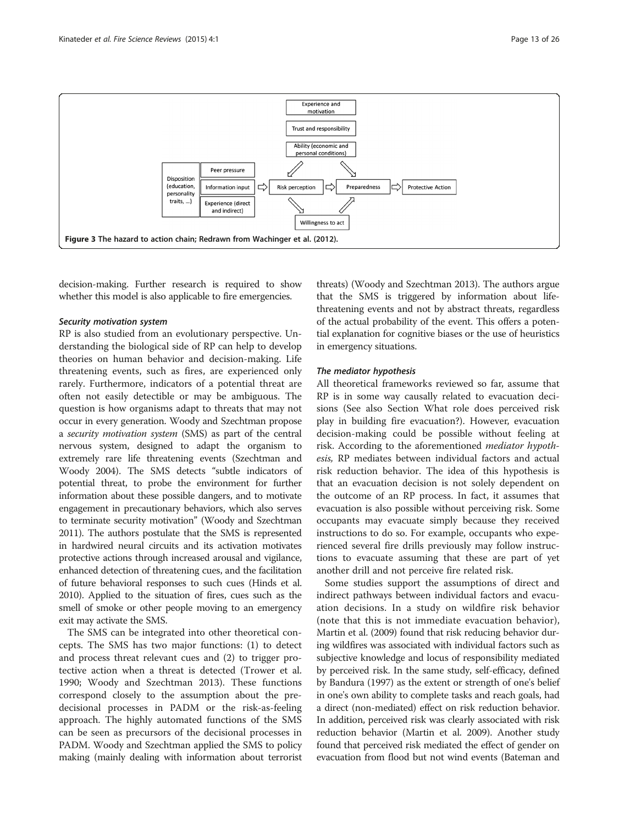

<span id="page-12-0"></span>

decision-making. Further research is required to show whether this model is also applicable to fire emergencies.

#### Security motivation system

RP is also studied from an evolutionary perspective. Understanding the biological side of RP can help to develop theories on human behavior and decision-making. Life threatening events, such as fires, are experienced only rarely. Furthermore, indicators of a potential threat are often not easily detectible or may be ambiguous. The question is how organisms adapt to threats that may not occur in every generation. Woody and Szechtman propose a security motivation system (SMS) as part of the central nervous system, designed to adapt the organism to extremely rare life threatening events (Szechtman and Woody [2004](#page-24-0)). The SMS detects "subtle indicators of potential threat, to probe the environment for further information about these possible dangers, and to motivate engagement in precautionary behaviors, which also serves to terminate security motivation" (Woody and Szechtman [2011\)](#page-24-0). The authors postulate that the SMS is represented in hardwired neural circuits and its activation motivates protective actions through increased arousal and vigilance, enhanced detection of threatening cues, and the facilitation of future behavioral responses to such cues (Hinds et al. [2010\)](#page-23-0). Applied to the situation of fires, cues such as the smell of smoke or other people moving to an emergency exit may activate the SMS.

The SMS can be integrated into other theoretical concepts. The SMS has two major functions: (1) to detect and process threat relevant cues and (2) to trigger protective action when a threat is detected (Trower et al. [1990](#page-24-0); Woody and Szechtman [2013](#page-24-0)). These functions correspond closely to the assumption about the predecisional processes in PADM or the risk-as-feeling approach. The highly automated functions of the SMS can be seen as precursors of the decisional processes in PADM. Woody and Szechtman applied the SMS to policy making (mainly dealing with information about terrorist

threats) (Woody and Szechtman [2013\)](#page-24-0). The authors argue that the SMS is triggered by information about lifethreatening events and not by abstract threats, regardless of the actual probability of the event. This offers a potential explanation for cognitive biases or the use of heuristics in emergency situations.

#### The mediator hypothesis

All theoretical frameworks reviewed so far, assume that RP is in some way causally related to evacuation decisions (See also Section [What role does perceived risk](#page-13-0) [play in building fire evacuation?](#page-13-0)). However, evacuation decision-making could be possible without feeling at risk. According to the aforementioned *mediator hypoth*esis, RP mediates between individual factors and actual risk reduction behavior. The idea of this hypothesis is that an evacuation decision is not solely dependent on the outcome of an RP process. In fact, it assumes that evacuation is also possible without perceiving risk. Some occupants may evacuate simply because they received instructions to do so. For example, occupants who experienced several fire drills previously may follow instructions to evacuate assuming that these are part of yet another drill and not perceive fire related risk.

Some studies support the assumptions of direct and indirect pathways between individual factors and evacuation decisions. In a study on wildfire risk behavior (note that this is not immediate evacuation behavior), Martin et al. ([2009](#page-23-0)) found that risk reducing behavior during wildfires was associated with individual factors such as subjective knowledge and locus of responsibility mediated by perceived risk. In the same study, self-efficacy, defined by Bandura ([1997\)](#page-22-0) as the extent or strength of one's belief in one's own ability to complete tasks and reach goals, had a direct (non-mediated) effect on risk reduction behavior. In addition, perceived risk was clearly associated with risk reduction behavior (Martin et al. [2009\)](#page-23-0). Another study found that perceived risk mediated the effect of gender on evacuation from flood but not wind events (Bateman and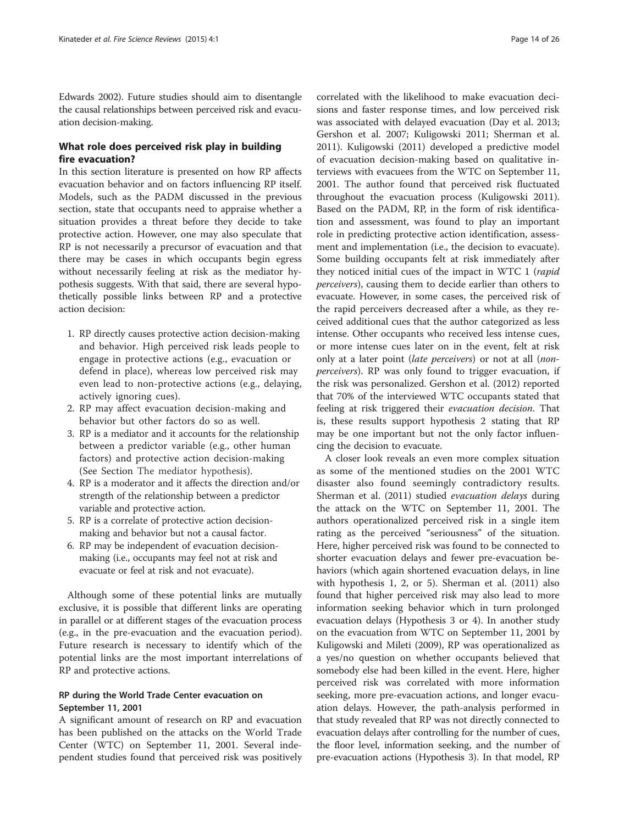<span id="page-13-0"></span>Edwards [2002\)](#page-22-0). Future studies should aim to disentangle the causal relationships between perceived risk and evacuation decision-making.

# What role does perceived risk play in building fire evacuation?

In this section literature is presented on how RP affects evacuation behavior and on factors influencing RP itself. Models, such as the PADM discussed in the previous section, state that occupants need to appraise whether a situation provides a threat before they decide to take protective action. However, one may also speculate that RP is not necessarily a precursor of evacuation and that there may be cases in which occupants begin egress without necessarily feeling at risk as the mediator hypothesis suggests. With that said, there are several hypothetically possible links between RP and a protective action decision:

- 1. RP directly causes protective action decision-making and behavior. High perceived risk leads people to engage in protective actions (e.g., evacuation or defend in place), whereas low perceived risk may even lead to non-protective actions (e.g., delaying, actively ignoring cues).
- 2. RP may affect evacuation decision-making and behavior but other factors do so as well.
- 3. RP is a mediator and it accounts for the relationship between a predictor variable (e.g., other human factors) and protective action decision-making (See Section [The mediator hypothesis\)](#page-12-0).
- 4. RP is a moderator and it affects the direction and/or strength of the relationship between a predictor variable and protective action.
- 5. RP is a correlate of protective action decisionmaking and behavior but not a causal factor.
- 6. RP may be independent of evacuation decisionmaking (i.e., occupants may feel not at risk and evacuate or feel at risk and not evacuate).

Although some of these potential links are mutually exclusive, it is possible that different links are operating in parallel or at different stages of the evacuation process (e.g., in the pre-evacuation and the evacuation period). Future research is necessary to identify which of the potential links are the most important interrelations of RP and protective actions.

# RP during the World Trade Center evacuation on September 11, 2001

A significant amount of research on RP and evacuation has been published on the attacks on the World Trade Center (WTC) on September 11, 2001. Several independent studies found that perceived risk was positively

correlated with the likelihood to make evacuation decisions and faster response times, and low perceived risk was associated with delayed evacuation (Day et al. [2013](#page-22-0); Gershon et al. [2007](#page-22-0); Kuligowski [2011](#page-23-0); Sherman et al. [2011](#page-24-0)). Kuligowski ([2011](#page-23-0)) developed a predictive model of evacuation decision-making based on qualitative interviews with evacuees from the WTC on September 11, 2001. The author found that perceived risk fluctuated throughout the evacuation process (Kuligowski [2011](#page-23-0)). Based on the PADM, RP, in the form of risk identification and assessment, was found to play an important role in predicting protective action identification, assessment and implementation (i.e., the decision to evacuate). Some building occupants felt at risk immediately after they noticed initial cues of the impact in WTC 1 (rapid perceivers), causing them to decide earlier than others to evacuate. However, in some cases, the perceived risk of the rapid perceivers decreased after a while, as they received additional cues that the author categorized as less intense. Other occupants who received less intense cues, or more intense cues later on in the event, felt at risk only at a later point (late perceivers) or not at all (nonperceivers). RP was only found to trigger evacuation, if the risk was personalized. Gershon et al. ([2012](#page-22-0)) reported that 70% of the interviewed WTC occupants stated that feeling at risk triggered their evacuation decision. That is, these results support hypothesis 2 stating that RP may be one important but not the only factor influencing the decision to evacuate.

A closer look reveals an even more complex situation as some of the mentioned studies on the 2001 WTC disaster also found seemingly contradictory results. Sherman et al. [\(2011\)](#page-24-0) studied evacuation delays during the attack on the WTC on September 11, 2001. The authors operationalized perceived risk in a single item rating as the perceived "seriousness" of the situation. Here, higher perceived risk was found to be connected to shorter evacuation delays and fewer pre-evacuation behaviors (which again shortened evacuation delays, in line with hypothesis 1, 2, or 5). Sherman et al. [\(2011](#page-24-0)) also found that higher perceived risk may also lead to more information seeking behavior which in turn prolonged evacuation delays (Hypothesis 3 or 4). In another study on the evacuation from WTC on September 11, 2001 by Kuligowski and Mileti [\(2009](#page-23-0)), RP was operationalized as a yes/no question on whether occupants believed that somebody else had been killed in the event. Here, higher perceived risk was correlated with more information seeking, more pre-evacuation actions, and longer evacuation delays. However, the path-analysis performed in that study revealed that RP was not directly connected to evacuation delays after controlling for the number of cues, the floor level, information seeking, and the number of pre-evacuation actions (Hypothesis 3). In that model, RP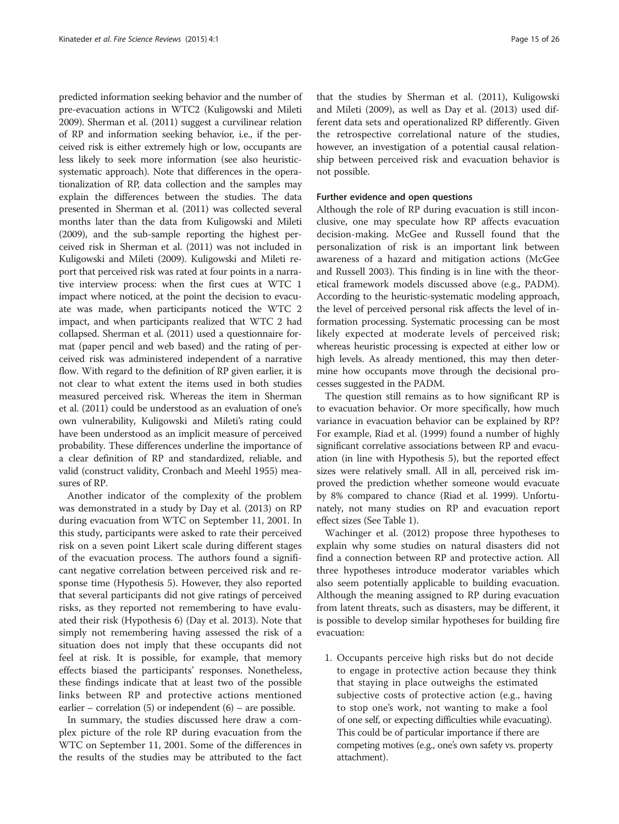predicted information seeking behavior and the number of pre-evacuation actions in WTC2 (Kuligowski and Mileti [2009\)](#page-23-0). Sherman et al. ([2011](#page-24-0)) suggest a curvilinear relation of RP and information seeking behavior, i.e., if the perceived risk is either extremely high or low, occupants are less likely to seek more information (see also heuristicsystematic approach). Note that differences in the operationalization of RP, data collection and the samples may explain the differences between the studies. The data presented in Sherman et al. ([2011\)](#page-24-0) was collected several months later than the data from Kuligowski and Mileti ([2009\)](#page-23-0), and the sub-sample reporting the highest perceived risk in Sherman et al. [\(2011](#page-24-0)) was not included in Kuligowski and Mileti [\(2009](#page-23-0)). Kuligowski and Mileti report that perceived risk was rated at four points in a narrative interview process: when the first cues at WTC 1 impact where noticed, at the point the decision to evacuate was made, when participants noticed the WTC 2 impact, and when participants realized that WTC 2 had collapsed. Sherman et al. ([2011\)](#page-24-0) used a questionnaire format (paper pencil and web based) and the rating of perceived risk was administered independent of a narrative flow. With regard to the definition of RP given earlier, it is not clear to what extent the items used in both studies measured perceived risk. Whereas the item in Sherman et al. ([2011](#page-24-0)) could be understood as an evaluation of one's own vulnerability, Kuligowski and Mileti's rating could have been understood as an implicit measure of perceived probability. These differences underline the importance of a clear definition of RP and standardized, reliable, and valid (construct validity, Cronbach and Meehl [1955](#page-22-0)) measures of RP.

Another indicator of the complexity of the problem was demonstrated in a study by Day et al. ([2013](#page-22-0)) on RP during evacuation from WTC on September 11, 2001. In this study, participants were asked to rate their perceived risk on a seven point Likert scale during different stages of the evacuation process. The authors found a significant negative correlation between perceived risk and response time (Hypothesis 5). However, they also reported that several participants did not give ratings of perceived risks, as they reported not remembering to have evaluated their risk (Hypothesis 6) (Day et al. [2013](#page-22-0)). Note that simply not remembering having assessed the risk of a situation does not imply that these occupants did not feel at risk. It is possible, for example, that memory effects biased the participants' responses. Nonetheless, these findings indicate that at least two of the possible links between RP and protective actions mentioned earlier – correlation  $(5)$  or independent  $(6)$  – are possible.

In summary, the studies discussed here draw a complex picture of the role RP during evacuation from the WTC on September 11, 2001. Some of the differences in the results of the studies may be attributed to the fact

that the studies by Sherman et al. ([2011](#page-24-0)), Kuligowski and Mileti ([2009\)](#page-23-0), as well as Day et al. [\(2013\)](#page-22-0) used different data sets and operationalized RP differently. Given the retrospective correlational nature of the studies, however, an investigation of a potential causal relationship between perceived risk and evacuation behavior is not possible.

#### Further evidence and open questions

Although the role of RP during evacuation is still inconclusive, one may speculate how RP affects evacuation decision-making. McGee and Russell found that the personalization of risk is an important link between awareness of a hazard and mitigation actions (McGee and Russell [2003\)](#page-23-0). This finding is in line with the theoretical framework models discussed above (e.g., PADM). According to the heuristic-systematic modeling approach, the level of perceived personal risk affects the level of information processing. Systematic processing can be most likely expected at moderate levels of perceived risk; whereas heuristic processing is expected at either low or high levels. As already mentioned, this may then determine how occupants move through the decisional processes suggested in the PADM.

The question still remains as to how significant RP is to evacuation behavior. Or more specifically, how much variance in evacuation behavior can be explained by RP? For example, Riad et al. ([1999](#page-24-0)) found a number of highly significant correlative associations between RP and evacuation (in line with Hypothesis 5), but the reported effect sizes were relatively small. All in all, perceived risk improved the prediction whether someone would evacuate by 8% compared to chance (Riad et al. [1999](#page-24-0)). Unfortunately, not many studies on RP and evacuation report effect sizes (See Table [1\)](#page-2-0).

Wachinger et al. ([2012\)](#page-24-0) propose three hypotheses to explain why some studies on natural disasters did not find a connection between RP and protective action. All three hypotheses introduce moderator variables which also seem potentially applicable to building evacuation. Although the meaning assigned to RP during evacuation from latent threats, such as disasters, may be different, it is possible to develop similar hypotheses for building fire evacuation:

1. Occupants perceive high risks but do not decide to engage in protective action because they think that staying in place outweighs the estimated subjective costs of protective action (e.g., having to stop one's work, not wanting to make a fool of one self, or expecting difficulties while evacuating). This could be of particular importance if there are competing motives (e.g., one's own safety vs. property attachment).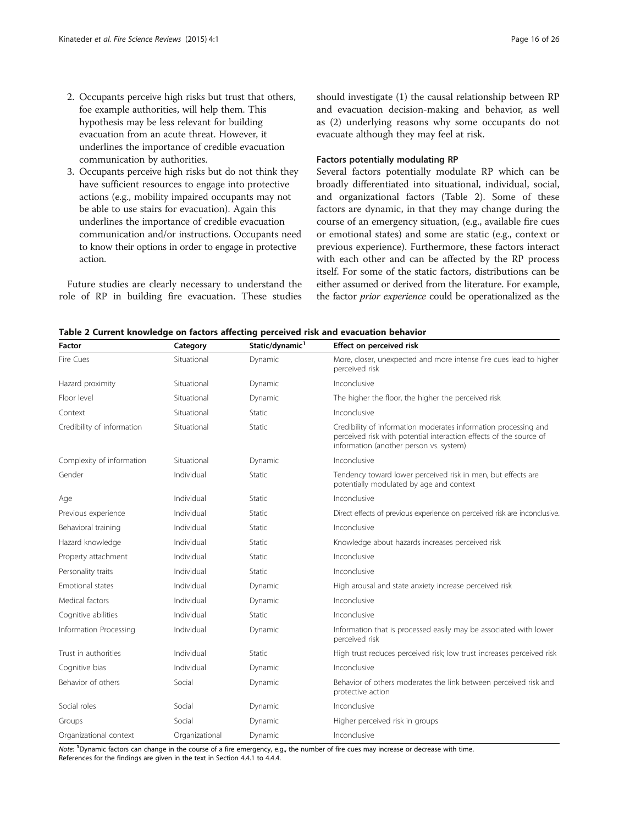- <span id="page-15-0"></span>2. Occupants perceive high risks but trust that others, foe example authorities, will help them. This hypothesis may be less relevant for building evacuation from an acute threat. However, it underlines the importance of credible evacuation communication by authorities.
- 3. Occupants perceive high risks but do not think they have sufficient resources to engage into protective actions (e.g., mobility impaired occupants may not be able to use stairs for evacuation). Again this underlines the importance of credible evacuation communication and/or instructions. Occupants need to know their options in order to engage in protective action.

Future studies are clearly necessary to understand the role of RP in building fire evacuation. These studies should investigate (1) the causal relationship between RP and evacuation decision-making and behavior, as well as (2) underlying reasons why some occupants do not evacuate although they may feel at risk.

#### Factors potentially modulating RP

Several factors potentially modulate RP which can be broadly differentiated into situational, individual, social, and organizational factors (Table 2). Some of these factors are dynamic, in that they may change during the course of an emergency situation, (e.g., available fire cues or emotional states) and some are static (e.g., context or previous experience). Furthermore, these factors interact with each other and can be affected by the RP process itself. For some of the static factors, distributions can be either assumed or derived from the literature. For example, the factor prior experience could be operationalized as the

| Table 2 Current knowledge on factors affecting perceived risk and evacuation behavior |          |                             |                          |
|---------------------------------------------------------------------------------------|----------|-----------------------------|--------------------------|
| Factor                                                                                | Category | Static/dynamic <sup>1</sup> | Effect on perceived risk |

Hazard proximity **Situational** Dynamic **Inconclusive** 

| Floor level                |                |         |                                                                                                                                                                                  |
|----------------------------|----------------|---------|----------------------------------------------------------------------------------------------------------------------------------------------------------------------------------|
|                            | Situational    | Dynamic | The higher the floor, the higher the perceived risk                                                                                                                              |
| Context                    | Situational    | Static  | Inconclusive                                                                                                                                                                     |
| Credibility of information | Situational    | Static  | Credibility of information moderates information processing and<br>perceived risk with potential interaction effects of the source of<br>information (another person vs. system) |
| Complexity of information  | Situational    | Dynamic | Inconclusive                                                                                                                                                                     |
| Gender                     | Individual     | Static  | Tendency toward lower perceived risk in men, but effects are<br>potentially modulated by age and context                                                                         |
| Age                        | Individual     | Static  | Inconclusive                                                                                                                                                                     |
| Previous experience        | Individual     | Static  | Direct effects of previous experience on perceived risk are inconclusive                                                                                                         |
| Behavioral training        | Individual     | Static  | Inconclusive                                                                                                                                                                     |
| Hazard knowledge           | Individual     | Static  | Knowledge about hazards increases perceived risk                                                                                                                                 |
| Property attachment        | Individual     | Static  | Inconclusive                                                                                                                                                                     |
| Personality traits         | Individual     | Static  | Inconclusive                                                                                                                                                                     |
| Emotional states           | Individual     | Dynamic | High arousal and state anxiety increase perceived risk                                                                                                                           |
| Medical factors            | Individual     | Dynamic | Inconclusive                                                                                                                                                                     |
| Cognitive abilities        | Individual     | Static  | Inconclusive                                                                                                                                                                     |
| Information Processing     | Individual     | Dynamic | Information that is processed easily may be associated with lower<br>perceived risk                                                                                              |
| Trust in authorities       | Individual     | Static  | High trust reduces perceived risk; low trust increases perceived risk                                                                                                            |
| Cognitive bias             | Individual     | Dynamic | Inconclusive                                                                                                                                                                     |
| Behavior of others         | Social         | Dynamic | Behavior of others moderates the link between perceived risk and<br>protective action                                                                                            |
| Social roles               | Social         | Dynamic | Inconclusive                                                                                                                                                                     |
| Groups                     | Social         | Dynamic | Higher perceived risk in groups                                                                                                                                                  |
| Organizational context     | Organizational | Dynamic | Inconclusive                                                                                                                                                                     |

Fire Cues Situational Dynamic More, closer, unexpected and more intense fire cues lead to higher

perceived risk

ency, e.g., the number of fire cues may inci References for the findings are given in the text in Section 4.4.1 to 4.4.4.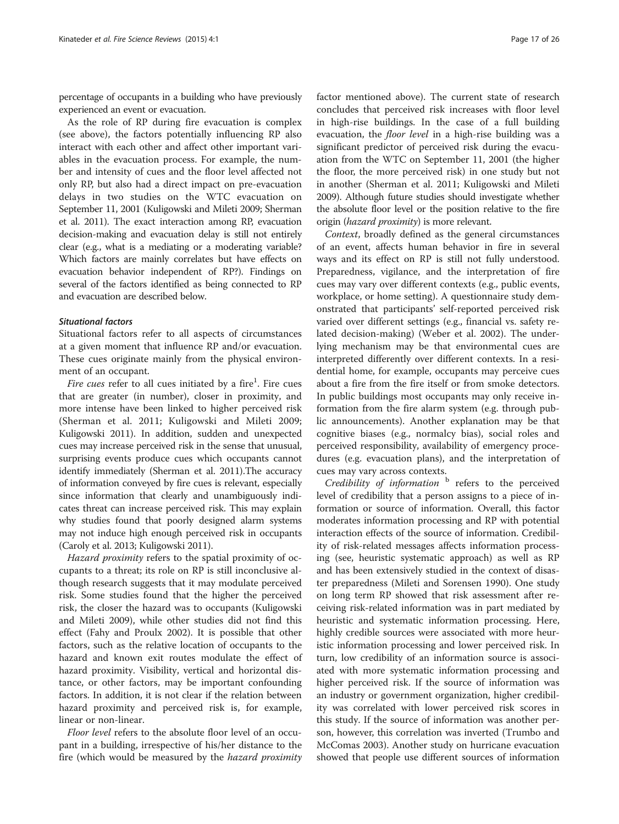percentage of occupants in a building who have previously experienced an event or evacuation.

As the role of RP during fire evacuation is complex (see above), the factors potentially influencing RP also interact with each other and affect other important variables in the evacuation process. For example, the number and intensity of cues and the floor level affected not only RP, but also had a direct impact on pre-evacuation delays in two studies on the WTC evacuation on September 11, 2001 (Kuligowski and Mileti [2009](#page-23-0); Sherman et al. [2011](#page-24-0)). The exact interaction among RP, evacuation decision-making and evacuation delay is still not entirely clear (e.g., what is a mediating or a moderating variable? Which factors are mainly correlates but have effects on evacuation behavior independent of RP?). Findings on several of the factors identified as being connected to RP and evacuation are described below.

# Situational factors

Situational factors refer to all aspects of circumstances at a given moment that influence RP and/or evacuation. These cues originate mainly from the physical environment of an occupant.

Fire cues refer to all cues initiated by a fire<sup>1</sup>. Fire cues that are greater (in number), closer in proximity, and more intense have been linked to higher perceived risk (Sherman et al. [2011;](#page-24-0) Kuligowski and Mileti [2009](#page-23-0); Kuligowski [2011](#page-23-0)). In addition, sudden and unexpected cues may increase perceived risk in the sense that unusual, surprising events produce cues which occupants cannot identify immediately (Sherman et al. [2011\)](#page-24-0).The accuracy of information conveyed by fire cues is relevant, especially since information that clearly and unambiguously indicates threat can increase perceived risk. This may explain why studies found that poorly designed alarm systems may not induce high enough perceived risk in occupants (Caroly et al. [2013](#page-22-0); Kuligowski [2011\)](#page-23-0).

Hazard proximity refers to the spatial proximity of occupants to a threat; its role on RP is still inconclusive although research suggests that it may modulate perceived risk. Some studies found that the higher the perceived risk, the closer the hazard was to occupants (Kuligowski and Mileti [2009\)](#page-23-0), while other studies did not find this effect (Fahy and Proulx [2002](#page-22-0)). It is possible that other factors, such as the relative location of occupants to the hazard and known exit routes modulate the effect of hazard proximity. Visibility, vertical and horizontal distance, or other factors, may be important confounding factors. In addition, it is not clear if the relation between hazard proximity and perceived risk is, for example, linear or non-linear.

Floor level refers to the absolute floor level of an occupant in a building, irrespective of his/her distance to the fire (which would be measured by the hazard proximity

factor mentioned above). The current state of research concludes that perceived risk increases with floor level in high-rise buildings. In the case of a full building evacuation, the *floor level* in a high-rise building was a significant predictor of perceived risk during the evacuation from the WTC on September 11, 2001 (the higher the floor, the more perceived risk) in one study but not in another (Sherman et al. [2011](#page-24-0); Kuligowski and Mileti [2009\)](#page-23-0). Although future studies should investigate whether the absolute floor level or the position relative to the fire origin (hazard proximity) is more relevant.

Context, broadly defined as the general circumstances of an event, affects human behavior in fire in several ways and its effect on RP is still not fully understood. Preparedness, vigilance, and the interpretation of fire cues may vary over different contexts (e.g., public events, workplace, or home setting). A questionnaire study demonstrated that participants' self-reported perceived risk varied over different settings (e.g., financial vs. safety related decision-making) (Weber et al. [2002\)](#page-24-0). The underlying mechanism may be that environmental cues are interpreted differently over different contexts. In a residential home, for example, occupants may perceive cues about a fire from the fire itself or from smoke detectors. In public buildings most occupants may only receive information from the fire alarm system (e.g. through public announcements). Another explanation may be that cognitive biases (e.g., normalcy bias), social roles and perceived responsibility, availability of emergency procedures (e.g. evacuation plans), and the interpretation of cues may vary across contexts.

Credibility of information  $\overline{b}$  refers to the perceived level of credibility that a person assigns to a piece of information or source of information. Overall, this factor moderates information processing and RP with potential interaction effects of the source of information. Credibility of risk-related messages affects information processing (see, heuristic systematic approach) as well as RP and has been extensively studied in the context of disaster preparedness (Mileti and Sorensen [1990\)](#page-23-0). One study on long term RP showed that risk assessment after receiving risk-related information was in part mediated by heuristic and systematic information processing. Here, highly credible sources were associated with more heuristic information processing and lower perceived risk. In turn, low credibility of an information source is associated with more systematic information processing and higher perceived risk. If the source of information was an industry or government organization, higher credibility was correlated with lower perceived risk scores in this study. If the source of information was another person, however, this correlation was inverted (Trumbo and McComas [2003\)](#page-24-0). Another study on hurricane evacuation showed that people use different sources of information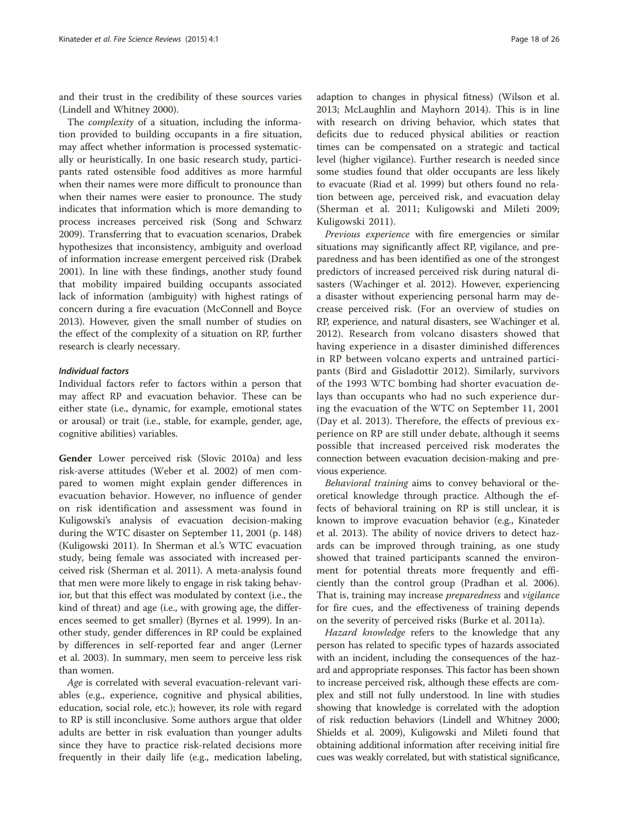and their trust in the credibility of these sources varies (Lindell and Whitney [2000\)](#page-23-0).

The *complexity* of a situation, including the information provided to building occupants in a fire situation, may affect whether information is processed systematically or heuristically. In one basic research study, participants rated ostensible food additives as more harmful when their names were more difficult to pronounce than when their names were easier to pronounce. The study indicates that information which is more demanding to process increases perceived risk (Song and Schwarz [2009](#page-24-0)). Transferring that to evacuation scenarios, Drabek hypothesizes that inconsistency, ambiguity and overload of information increase emergent perceived risk (Drabek [2001](#page-22-0)). In line with these findings, another study found that mobility impaired building occupants associated lack of information (ambiguity) with highest ratings of concern during a fire evacuation (McConnell and Boyce [2013](#page-23-0)). However, given the small number of studies on the effect of the complexity of a situation on RP, further research is clearly necessary.

#### Individual factors

Individual factors refer to factors within a person that may affect RP and evacuation behavior. These can be either state (i.e., dynamic, for example, emotional states or arousal) or trait (i.e., stable, for example, gender, age, cognitive abilities) variables.

Gender Lower perceived risk (Slovic [2010a\)](#page-24-0) and less risk-averse attitudes (Weber et al. [2002\)](#page-24-0) of men compared to women might explain gender differences in evacuation behavior. However, no influence of gender on risk identification and assessment was found in Kuligowski's analysis of evacuation decision-making during the WTC disaster on September 11, 2001 (p. 148) (Kuligowski [2011](#page-23-0)). In Sherman et al.'s WTC evacuation study, being female was associated with increased perceived risk (Sherman et al. [2011](#page-24-0)). A meta-analysis found that men were more likely to engage in risk taking behavior, but that this effect was modulated by context (i.e., the kind of threat) and age (i.e., with growing age, the differences seemed to get smaller) (Byrnes et al. [1999](#page-22-0)). In another study, gender differences in RP could be explained by differences in self-reported fear and anger (Lerner et al. [2003\)](#page-23-0). In summary, men seem to perceive less risk than women.

Age is correlated with several evacuation-relevant variables (e.g., experience, cognitive and physical abilities, education, social role, etc.); however, its role with regard to RP is still inconclusive. Some authors argue that older adults are better in risk evaluation than younger adults since they have to practice risk-related decisions more frequently in their daily life (e.g., medication labeling,

adaption to changes in physical fitness) (Wilson et al. [2013](#page-24-0); McLaughlin and Mayhorn [2014](#page-23-0)). This is in line with research on driving behavior, which states that deficits due to reduced physical abilities or reaction times can be compensated on a strategic and tactical level (higher vigilance). Further research is needed since some studies found that older occupants are less likely to evacuate (Riad et al. [1999\)](#page-24-0) but others found no relation between age, perceived risk, and evacuation delay (Sherman et al. [2011;](#page-24-0) Kuligowski and Mileti [2009](#page-23-0); Kuligowski [2011](#page-23-0)).

Previous experience with fire emergencies or similar situations may significantly affect RP, vigilance, and preparedness and has been identified as one of the strongest predictors of increased perceived risk during natural disasters (Wachinger et al. [2012](#page-24-0)). However, experiencing a disaster without experiencing personal harm may decrease perceived risk. (For an overview of studies on RP, experience, and natural disasters, see Wachinger et al. [2012\)](#page-24-0). Research from volcano disasters showed that having experience in a disaster diminished differences in RP between volcano experts and untrained participants (Bird and Gisladottir [2012\)](#page-22-0). Similarly, survivors of the 1993 WTC bombing had shorter evacuation delays than occupants who had no such experience during the evacuation of the WTC on September 11, 2001 (Day et al. [2013\)](#page-22-0). Therefore, the effects of previous experience on RP are still under debate, although it seems possible that increased perceived risk moderates the connection between evacuation decision-making and previous experience.

Behavioral training aims to convey behavioral or theoretical knowledge through practice. Although the effects of behavioral training on RP is still unclear, it is known to improve evacuation behavior (e.g., Kinateder et al. [2013\)](#page-23-0). The ability of novice drivers to detect hazards can be improved through training, as one study showed that trained participants scanned the environment for potential threats more frequently and efficiently than the control group (Pradhan et al. [2006](#page-24-0)). That is, training may increase *preparedness* and *vigilance* for fire cues, and the effectiveness of training depends on the severity of perceived risks (Burke et al. [2011a](#page-22-0)).

Hazard knowledge refers to the knowledge that any person has related to specific types of hazards associated with an incident, including the consequences of the hazard and appropriate responses. This factor has been shown to increase perceived risk, although these effects are complex and still not fully understood. In line with studies showing that knowledge is correlated with the adoption of risk reduction behaviors (Lindell and Whitney [2000](#page-23-0); Shields et al. [2009\)](#page-24-0), Kuligowski and Mileti found that obtaining additional information after receiving initial fire cues was weakly correlated, but with statistical significance,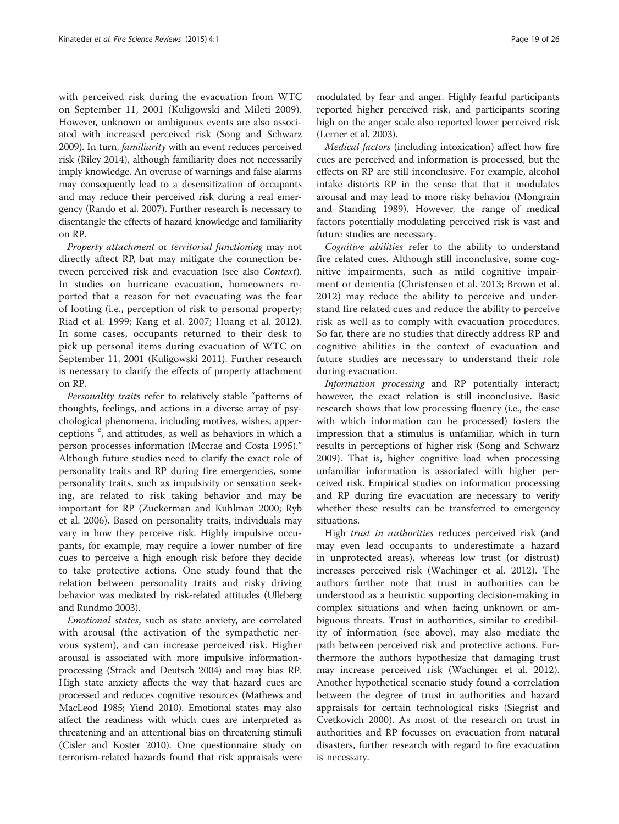with perceived risk during the evacuation from WTC on September 11, 2001 (Kuligowski and Mileti [2009](#page-23-0)). However, unknown or ambiguous events are also associated with increased perceived risk (Song and Schwarz [2009\)](#page-24-0). In turn, familiarity with an event reduces perceived risk (Riley [2014](#page-24-0)), although familiarity does not necessarily imply knowledge. An overuse of warnings and false alarms may consequently lead to a desensitization of occupants and may reduce their perceived risk during a real emergency (Rando et al. [2007](#page-24-0)). Further research is necessary to disentangle the effects of hazard knowledge and familiarity on RP.

Property attachment or territorial functioning may not directly affect RP, but may mitigate the connection between perceived risk and evacuation (see also Context). In studies on hurricane evacuation, homeowners reported that a reason for not evacuating was the fear of looting (i.e., perception of risk to personal property; Riad et al. [1999;](#page-24-0) Kang et al. [2007;](#page-23-0) Huang et al. [2012](#page-23-0)). In some cases, occupants returned to their desk to pick up personal items during evacuation of WTC on September 11, 2001 (Kuligowski [2011\)](#page-23-0). Further research is necessary to clarify the effects of property attachment on RP.

Personality traits refer to relatively stable "patterns of thoughts, feelings, and actions in a diverse array of psychological phenomena, including motives, wishes, apperceptions<sup>c</sup>, and attitudes, as well as behaviors in which a person processes information (Mccrae and Costa [1995\)](#page-23-0)." Although future studies need to clarify the exact role of personality traits and RP during fire emergencies, some personality traits, such as impulsivity or sensation seeking, are related to risk taking behavior and may be important for RP (Zuckerman and Kuhlman [2000;](#page-25-0) Ryb et al. [2006](#page-24-0)). Based on personality traits, individuals may vary in how they perceive risk. Highly impulsive occupants, for example, may require a lower number of fire cues to perceive a high enough risk before they decide to take protective actions. One study found that the relation between personality traits and risky driving behavior was mediated by risk-related attitudes (Ulleberg and Rundmo [2003\)](#page-24-0).

Emotional states, such as state anxiety, are correlated with arousal (the activation of the sympathetic nervous system), and can increase perceived risk. Higher arousal is associated with more impulsive informationprocessing (Strack and Deutsch [2004](#page-24-0)) and may bias RP. High state anxiety affects the way that hazard cues are processed and reduces cognitive resources (Mathews and MacLeod [1985;](#page-23-0) Yiend [2010\)](#page-25-0). Emotional states may also affect the readiness with which cues are interpreted as threatening and an attentional bias on threatening stimuli (Cisler and Koster [2010\)](#page-22-0). One questionnaire study on terrorism-related hazards found that risk appraisals were modulated by fear and anger. Highly fearful participants reported higher perceived risk, and participants scoring high on the anger scale also reported lower perceived risk (Lerner et al. [2003\)](#page-23-0).

Medical factors (including intoxication) affect how fire cues are perceived and information is processed, but the effects on RP are still inconclusive. For example, alcohol intake distorts RP in the sense that that it modulates arousal and may lead to more risky behavior (Mongrain and Standing [1989](#page-23-0)). However, the range of medical factors potentially modulating perceived risk is vast and future studies are necessary.

Cognitive abilities refer to the ability to understand fire related cues. Although still inconclusive, some cognitive impairments, such as mild cognitive impairment or dementia (Christensen et al. [2013;](#page-22-0) Brown et al. [2012\)](#page-22-0) may reduce the ability to perceive and understand fire related cues and reduce the ability to perceive risk as well as to comply with evacuation procedures. So far, there are no studies that directly address RP and cognitive abilities in the context of evacuation and future studies are necessary to understand their role during evacuation.

Information processing and RP potentially interact; however, the exact relation is still inconclusive. Basic research shows that low processing fluency (i.e., the ease with which information can be processed) fosters the impression that a stimulus is unfamiliar, which in turn results in perceptions of higher risk (Song and Schwarz [2009](#page-24-0)). That is, higher cognitive load when processing unfamiliar information is associated with higher perceived risk. Empirical studies on information processing and RP during fire evacuation are necessary to verify whether these results can be transferred to emergency situations.

High trust in authorities reduces perceived risk (and may even lead occupants to underestimate a hazard in unprotected areas), whereas low trust (or distrust) increases perceived risk (Wachinger et al. [2012\)](#page-24-0). The authors further note that trust in authorities can be understood as a heuristic supporting decision-making in complex situations and when facing unknown or ambiguous threats. Trust in authorities, similar to credibility of information (see above), may also mediate the path between perceived risk and protective actions. Furthermore the authors hypothesize that damaging trust may increase perceived risk (Wachinger et al. [2012](#page-24-0)). Another hypothetical scenario study found a correlation between the degree of trust in authorities and hazard appraisals for certain technological risks (Siegrist and Cvetkovich [2000](#page-24-0)). As most of the research on trust in authorities and RP focusses on evacuation from natural disasters, further research with regard to fire evacuation is necessary.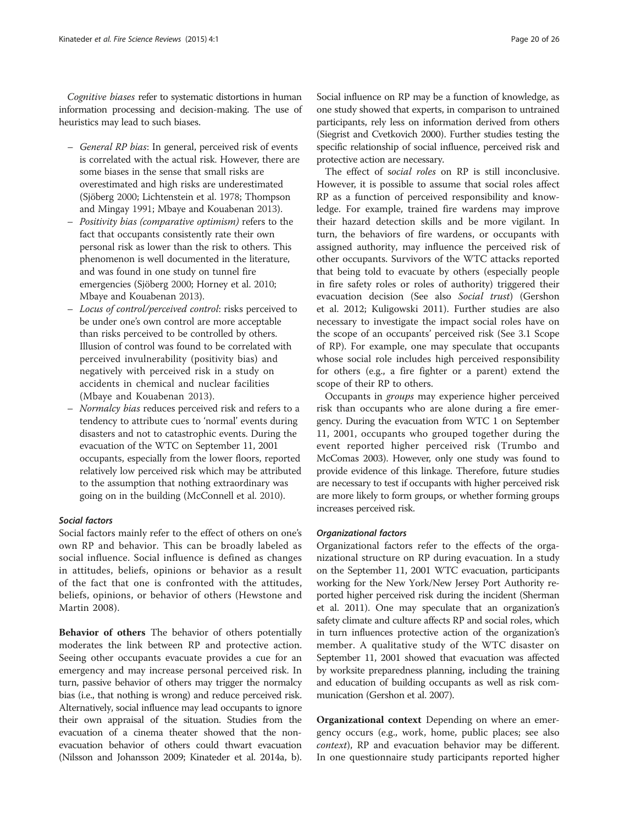Cognitive biases refer to systematic distortions in human information processing and decision-making. The use of heuristics may lead to such biases.

- General RP bias: In general, perceived risk of events is correlated with the actual risk. However, there are some biases in the sense that small risks are overestimated and high risks are underestimated (Sjöberg [2000;](#page-24-0) Lichtenstein et al. [1978;](#page-23-0) Thompson and Mingay [1991;](#page-24-0) Mbaye and Kouabenan [2013\)](#page-23-0).
- Positivity bias (comparative optimism) refers to the fact that occupants consistently rate their own personal risk as lower than the risk to others. This phenomenon is well documented in the literature, and was found in one study on tunnel fire emergencies (Sjöberg [2000](#page-24-0); Horney et al. [2010;](#page-23-0) Mbaye and Kouabenan [2013\)](#page-23-0).
- Locus of control/perceived control: risks perceived to be under one's own control are more acceptable than risks perceived to be controlled by others. Illusion of control was found to be correlated with perceived invulnerability (positivity bias) and negatively with perceived risk in a study on accidents in chemical and nuclear facilities (Mbaye and Kouabenan [2013](#page-23-0)).
- Normalcy bias reduces perceived risk and refers to a tendency to attribute cues to 'normal' events during disasters and not to catastrophic events. During the evacuation of the WTC on September 11, 2001 occupants, especially from the lower floors, reported relatively low perceived risk which may be attributed to the assumption that nothing extraordinary was going on in the building (McConnell et al. [2010](#page-23-0)).

# Social factors

Social factors mainly refer to the effect of others on one's own RP and behavior. This can be broadly labeled as social influence. Social influence is defined as changes in attitudes, beliefs, opinions or behavior as a result of the fact that one is confronted with the attitudes, beliefs, opinions, or behavior of others (Hewstone and Martin [2008\)](#page-23-0).

Behavior of others The behavior of others potentially moderates the link between RP and protective action. Seeing other occupants evacuate provides a cue for an emergency and may increase personal perceived risk. In turn, passive behavior of others may trigger the normalcy bias (i.e., that nothing is wrong) and reduce perceived risk. Alternatively, social influence may lead occupants to ignore their own appraisal of the situation. Studies from the evacuation of a cinema theater showed that the nonevacuation behavior of others could thwart evacuation (Nilsson and Johansson [2009](#page-23-0); Kinateder et al. [2014a, b](#page-23-0)).

Social influence on RP may be a function of knowledge, as one study showed that experts, in comparison to untrained participants, rely less on information derived from others (Siegrist and Cvetkovich [2000](#page-24-0)). Further studies testing the specific relationship of social influence, perceived risk and protective action are necessary.

The effect of social roles on RP is still inconclusive. However, it is possible to assume that social roles affect RP as a function of perceived responsibility and knowledge. For example, trained fire wardens may improve their hazard detection skills and be more vigilant. In turn, the behaviors of fire wardens, or occupants with assigned authority, may influence the perceived risk of other occupants. Survivors of the WTC attacks reported that being told to evacuate by others (especially people in fire safety roles or roles of authority) triggered their evacuation decision (See also Social trust) (Gershon et al. [2012;](#page-22-0) Kuligowski [2011\)](#page-23-0). Further studies are also necessary to investigate the impact social roles have on the scope of an occupants' perceived risk (See 3.1 Scope of RP). For example, one may speculate that occupants whose social role includes high perceived responsibility for others (e.g., a fire fighter or a parent) extend the scope of their RP to others.

Occupants in groups may experience higher perceived risk than occupants who are alone during a fire emergency. During the evacuation from WTC 1 on September 11, 2001, occupants who grouped together during the event reported higher perceived risk (Trumbo and McComas [2003\)](#page-24-0). However, only one study was found to provide evidence of this linkage. Therefore, future studies are necessary to test if occupants with higher perceived risk are more likely to form groups, or whether forming groups increases perceived risk.

#### Organizational factors

Organizational factors refer to the effects of the organizational structure on RP during evacuation. In a study on the September 11, 2001 WTC evacuation, participants working for the New York/New Jersey Port Authority reported higher perceived risk during the incident (Sherman et al. [2011\)](#page-24-0). One may speculate that an organization's safety climate and culture affects RP and social roles, which in turn influences protective action of the organization's member. A qualitative study of the WTC disaster on September 11, 2001 showed that evacuation was affected by worksite preparedness planning, including the training and education of building occupants as well as risk communication (Gershon et al. [2007](#page-22-0)).

Organizational context Depending on where an emergency occurs (e.g., work, home, public places; see also context), RP and evacuation behavior may be different. In one questionnaire study participants reported higher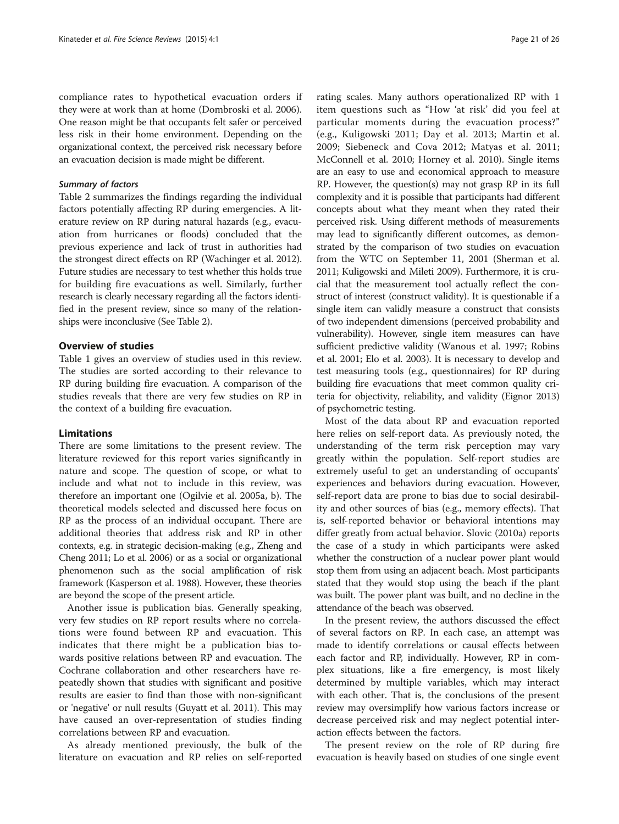<span id="page-20-0"></span>compliance rates to hypothetical evacuation orders if they were at work than at home (Dombroski et al. [2006](#page-22-0)). One reason might be that occupants felt safer or perceived less risk in their home environment. Depending on the organizational context, the perceived risk necessary before an evacuation decision is made might be different.

#### Summary of factors

Table [2](#page-15-0) summarizes the findings regarding the individual factors potentially affecting RP during emergencies. A literature review on RP during natural hazards (e.g., evacuation from hurricanes or floods) concluded that the previous experience and lack of trust in authorities had the strongest direct effects on RP (Wachinger et al. [2012](#page-24-0)). Future studies are necessary to test whether this holds true for building fire evacuations as well. Similarly, further research is clearly necessary regarding all the factors identified in the present review, since so many of the relationships were inconclusive (See Table [2](#page-15-0)).

# Overview of studies

Table [1](#page-2-0) gives an overview of studies used in this review. The studies are sorted according to their relevance to RP during building fire evacuation. A comparison of the studies reveals that there are very few studies on RP in the context of a building fire evacuation.

# Limitations

There are some limitations to the present review. The literature reviewed for this report varies significantly in nature and scope. The question of scope, or what to include and what not to include in this review, was therefore an important one (Ogilvie et al. [2005a](#page-23-0), [b\)](#page-23-0). The theoretical models selected and discussed here focus on RP as the process of an individual occupant. There are additional theories that address risk and RP in other contexts, e.g. in strategic decision-making (e.g., Zheng and Cheng [2011](#page-25-0); Lo et al. [2006](#page-23-0)) or as a social or organizational phenomenon such as the social amplification of risk framework (Kasperson et al. [1988](#page-23-0)). However, these theories are beyond the scope of the present article.

Another issue is publication bias. Generally speaking, very few studies on RP report results where no correlations were found between RP and evacuation. This indicates that there might be a publication bias towards positive relations between RP and evacuation. The Cochrane collaboration and other researchers have repeatedly shown that studies with significant and positive results are easier to find than those with non-significant or 'negative' or null results (Guyatt et al. [2011](#page-22-0)). This may have caused an over-representation of studies finding correlations between RP and evacuation.

As already mentioned previously, the bulk of the literature on evacuation and RP relies on self-reported

rating scales. Many authors operationalized RP with 1 item questions such as "How 'at risk' did you feel at particular moments during the evacuation process?" (e.g., Kuligowski [2011](#page-23-0); Day et al. [2013;](#page-22-0) Martin et al. [2009;](#page-23-0) Siebeneck and Cova [2012](#page-24-0); Matyas et al. [2011](#page-23-0); McConnell et al. [2010;](#page-23-0) Horney et al. [2010\)](#page-23-0). Single items are an easy to use and economical approach to measure RP. However, the question(s) may not grasp RP in its full complexity and it is possible that participants had different concepts about what they meant when they rated their perceived risk. Using different methods of measurements may lead to significantly different outcomes, as demonstrated by the comparison of two studies on evacuation from the WTC on September 11, 2001 (Sherman et al. [2011](#page-24-0); Kuligowski and Mileti [2009\)](#page-23-0). Furthermore, it is crucial that the measurement tool actually reflect the construct of interest (construct validity). It is questionable if a single item can validly measure a construct that consists of two independent dimensions (perceived probability and vulnerability). However, single item measures can have sufficient predictive validity (Wanous et al. [1997](#page-24-0); Robins et al. [2001;](#page-24-0) Elo et al. [2003](#page-22-0)). It is necessary to develop and test measuring tools (e.g., questionnaires) for RP during building fire evacuations that meet common quality criteria for objectivity, reliability, and validity (Eignor [2013](#page-22-0)) of psychometric testing.

Most of the data about RP and evacuation reported here relies on self-report data. As previously noted, the understanding of the term risk perception may vary greatly within the population. Self-report studies are extremely useful to get an understanding of occupants' experiences and behaviors during evacuation. However, self-report data are prone to bias due to social desirability and other sources of bias (e.g., memory effects). That is, self-reported behavior or behavioral intentions may differ greatly from actual behavior. Slovic [\(2010a](#page-24-0)) reports the case of a study in which participants were asked whether the construction of a nuclear power plant would stop them from using an adjacent beach. Most participants stated that they would stop using the beach if the plant was built. The power plant was built, and no decline in the attendance of the beach was observed.

In the present review, the authors discussed the effect of several factors on RP. In each case, an attempt was made to identify correlations or causal effects between each factor and RP, individually. However, RP in complex situations, like a fire emergency, is most likely determined by multiple variables, which may interact with each other. That is, the conclusions of the present review may oversimplify how various factors increase or decrease perceived risk and may neglect potential interaction effects between the factors.

The present review on the role of RP during fire evacuation is heavily based on studies of one single event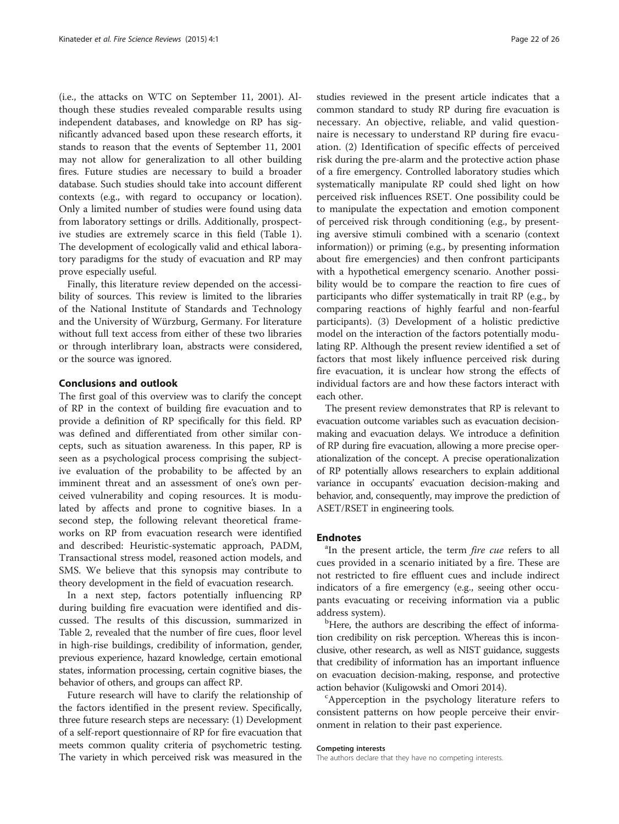<span id="page-21-0"></span>(i.e., the attacks on WTC on September 11, 2001). Although these studies revealed comparable results using independent databases, and knowledge on RP has significantly advanced based upon these research efforts, it stands to reason that the events of September 11, 2001 may not allow for generalization to all other building fires. Future studies are necessary to build a broader database. Such studies should take into account different contexts (e.g., with regard to occupancy or location). Only a limited number of studies were found using data from laboratory settings or drills. Additionally, prospective studies are extremely scarce in this field (Table [1](#page-2-0)). The development of ecologically valid and ethical laboratory paradigms for the study of evacuation and RP may prove especially useful.

Finally, this literature review depended on the accessibility of sources. This review is limited to the libraries of the National Institute of Standards and Technology and the University of Würzburg, Germany. For literature without full text access from either of these two libraries or through interlibrary loan, abstracts were considered, or the source was ignored.

#### Conclusions and outlook

The first goal of this overview was to clarify the concept of RP in the context of building fire evacuation and to provide a definition of RP specifically for this field. RP was defined and differentiated from other similar concepts, such as situation awareness. In this paper, RP is seen as a psychological process comprising the subjective evaluation of the probability to be affected by an imminent threat and an assessment of one's own perceived vulnerability and coping resources. It is modulated by affects and prone to cognitive biases. In a second step, the following relevant theoretical frameworks on RP from evacuation research were identified and described: Heuristic-systematic approach, PADM, Transactional stress model, reasoned action models, and SMS. We believe that this synopsis may contribute to theory development in the field of evacuation research.

In a next step, factors potentially influencing RP during building fire evacuation were identified and discussed. The results of this discussion, summarized in Table [2,](#page-15-0) revealed that the number of fire cues, floor level in high-rise buildings, credibility of information, gender, previous experience, hazard knowledge, certain emotional states, information processing, certain cognitive biases, the behavior of others, and groups can affect RP.

Future research will have to clarify the relationship of the factors identified in the present review. Specifically, three future research steps are necessary: (1) Development of a self-report questionnaire of RP for fire evacuation that meets common quality criteria of psychometric testing. The variety in which perceived risk was measured in the

studies reviewed in the present article indicates that a common standard to study RP during fire evacuation is necessary. An objective, reliable, and valid questionnaire is necessary to understand RP during fire evacuation. (2) Identification of specific effects of perceived risk during the pre-alarm and the protective action phase of a fire emergency. Controlled laboratory studies which systematically manipulate RP could shed light on how perceived risk influences RSET. One possibility could be to manipulate the expectation and emotion component of perceived risk through conditioning (e.g., by presenting aversive stimuli combined with a scenario (context information)) or priming (e.g., by presenting information about fire emergencies) and then confront participants with a hypothetical emergency scenario. Another possibility would be to compare the reaction to fire cues of participants who differ systematically in trait RP (e.g., by comparing reactions of highly fearful and non-fearful participants). (3) Development of a holistic predictive model on the interaction of the factors potentially modulating RP. Although the present review identified a set of factors that most likely influence perceived risk during fire evacuation, it is unclear how strong the effects of individual factors are and how these factors interact with each other.

The present review demonstrates that RP is relevant to evacuation outcome variables such as evacuation decisionmaking and evacuation delays. We introduce a definition of RP during fire evacuation, allowing a more precise operationalization of the concept. A precise operationalization of RP potentially allows researchers to explain additional variance in occupants' evacuation decision-making and behavior, and, consequently, may improve the prediction of ASET/RSET in engineering tools.

## **Endnotes**

<sup>a</sup>In the present article, the term *fire cue* refers to all cues provided in a scenario initiated by a fire. These are not restricted to fire effluent cues and include indirect indicators of a fire emergency (e.g., seeing other occupants evacuating or receiving information via a public address system).

<sup>b</sup>Here, the authors are describing the effect of information credibility on risk perception. Whereas this is inconclusive, other research, as well as NIST guidance, suggests that credibility of information has an important influence on evacuation decision-making, response, and protective action behavior (Kuligowski and Omori [2014](#page-23-0)).

Apperception in the psychology literature refers to consistent patterns on how people perceive their environment in relation to their past experience.

#### Competing interests

The authors declare that they have no competing interests.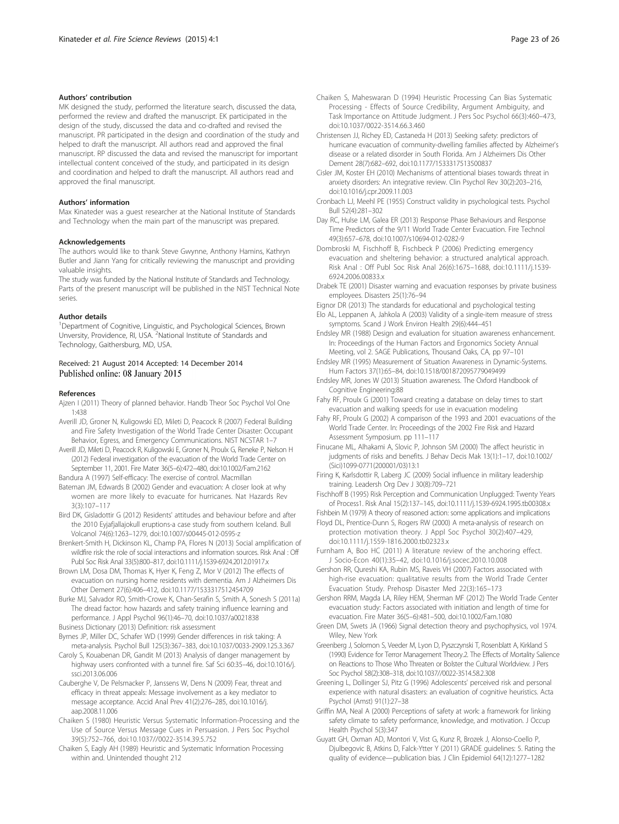#### <span id="page-22-0"></span>Authors' contribution

MK designed the study, performed the literature search, discussed the data, performed the review and drafted the manuscript. EK participated in the design of the study, discussed the data and co-drafted and revised the manuscript. PR participated in the design and coordination of the study and helped to draft the manuscript. All authors read and approved the final manuscript. RP discussed the data and revised the manuscript for important intellectual content conceived of the study, and participated in its design and coordination and helped to draft the manuscript. All authors read and approved the final manuscript.

#### Authors' information

Max Kinateder was a guest researcher at the National Institute of Standards and Technology when the main part of the manuscript was prepared.

#### Acknowledgements

The authors would like to thank Steve Gwynne, Anthony Hamins, Kathryn Butler and Jiann Yang for critically reviewing the manuscript and providing valuable insights.

The study was funded by the National Institute of Standards and Technology. Parts of the present manuscript will be published in the NIST Technical Note series.

#### Author details

<sup>1</sup>Department of Cognitive, Linguistic, and Psychological Sciences, Brown Unversity, Providence, RI, USA. <sup>2</sup>National Institute of Standards and Technology, Gaithersburg, MD, USA.

#### Received: 21 August 2014 Accepted: 14 December 2014 Published online: 08 January 2015

#### References

- Ajzen I (2011) Theory of planned behavior. Handb Theor Soc Psychol Vol One 1:438
- Averill JD, Groner N, Kuligowski ED, Mileti D, Peacock R (2007) Federal Building and Fire Safety Investigation of the World Trade Center Disaster: Occupant Behavior, Egress, and Emergency Communications. NIST NCSTAR 1–7
- Averill JD, Mileti D, Peacock R, Kuligowski E, Groner N, Proulx G, Reneke P, Nelson H (2012) Federal investigation of the evacuation of the World Trade Center on September 11, 2001. Fire Mater 36(5–6):472–480, doi:10.1002/Fam.2162

Bandura A (1997) Self-efficacy: The exercise of control. Macmillan Bateman JM, Edwards B (2002) Gender and evacuation: A closer look at why women are more likely to evacuate for hurricanes. Nat Hazards Rev 3(3):107–117

- Bird DK, Gisladottir G (2012) Residents' attitudes and behaviour before and after the 2010 Eyjafjallajokull eruptions-a case study from southern Iceland. Bull Volcanol 74(6):1263–1279, doi:10.1007/s00445-012-0595-z
- Brenkert-Smith H, Dickinson KL, Champ PA, Flores N (2013) Social amplification of wildfire risk: the role of social interactions and information sources. Risk Anal : Off Publ Soc Risk Anal 33(5):800–817, doi:10.1111/j.1539-6924.2012.01917.x
- Brown LM, Dosa DM, Thomas K, Hyer K, Feng Z, Mor V (2012) The effects of evacuation on nursing home residents with dementia. Am J Alzheimers Dis Other Dement 27(6):406–412, doi:10.1177/1533317512454709

Burke MJ, Salvador RO, Smith-Crowe K, Chan-Serafin S, Smith A, Sonesh S (2011a) The dread factor: how hazards and safety training influence learning and performance. J Appl Psychol 96(1):46–70, doi:10.1037/a0021838

Business Dictionary (2013) Definition: risk assessment Byrnes JP, Miller DC, Schafer WD (1999) Gender differences in risk taking: A

- meta-analysis. Psychol Bull 125(3):367–383, doi:10.1037/0033-2909.125.3.367 Caroly S, Kouabenan DR, Gandit M (2013) Analysis of danger management by
- highway users confronted with a tunnel fire. Saf Sci 60:35–46, doi:10.1016/j. ssci.2013.06.006

Cauberghe V, De Pelsmacker P, Janssens W, Dens N (2009) Fear, threat and efficacy in threat appeals: Message involvement as a key mediator to message acceptance. Accid Anal Prev 41(2):276–285, doi:10.1016/j. aap.2008.11.006

Chaiken S (1980) Heuristic Versus Systematic Information-Processing and the Use of Source Versus Message Cues in Persuasion. J Pers Soc Psychol 39(5):752–766, doi:10.1037//0022-3514.39.5.752

Chaiken S, Eagly AH (1989) Heuristic and Systematic Information Processing within and. Unintended thought 212

- Chaiken S, Maheswaran D (1994) Heuristic Processing Can Bias Systematic Processing - Effects of Source Credibility, Argument Ambiguity, and Task Importance on Attitude Judgment. J Pers Soc Psychol 66(3):460–473, doi:10.1037/0022-3514.66.3.460
- Christensen JJ, Richey ED, Castaneda H (2013) Seeking safety: predictors of hurricane evacuation of community-dwelling families affected by Alzheimer's disease or a related disorder in South Florida. Am J Alzheimers Dis Other Dement 28(7):682–692, doi:10.1177/1533317513500837
- Cisler JM, Koster EH (2010) Mechanisms of attentional biases towards threat in anxiety disorders: An integrative review. Clin Psychol Rev 30(2):203–216, doi:10.1016/j.cpr.2009.11.003
- Cronbach LJ, Meehl PE (1955) Construct validity in psychological tests. Psychol Bull 52(4):281–302
- Day RC, Hulse LM, Galea ER (2013) Response Phase Behaviours and Response Time Predictors of the 9/11 World Trade Center Evacuation. Fire Technol 49(3):657–678, doi:10.1007/s10694-012-0282-9
- Dombroski M, Fischhoff B, Fischbeck P (2006) Predicting emergency evacuation and sheltering behavior: a structured analytical approach. Risk Anal : Off Publ Soc Risk Anal 26(6):1675–1688, doi:10.1111/j.1539- 6924.2006.00833.x
- Drabek TE (2001) Disaster warning and evacuation responses by private business employees. Disasters 25(1):76–94
- Eignor DR (2013) The standards for educational and psychological testing
- Elo AL, Leppanen A, Jahkola A (2003) Validity of a single-item measure of stress symptoms. Scand J Work Environ Health 29(6):444–451
- Endsley MR (1988) Design and evaluation for situation awareness enhancement. In: Proceedings of the Human Factors and Ergonomics Society Annual Meeting, vol 2. SAGE Publications, Thousand Oaks, CA, pp 97–101
- Endsley MR (1995) Measurement of Situation Awareness in Dynamic-Systems. Hum Factors 37(1):65–84, doi:10.1518/001872095779049499
- Endsley MR, Jones W (2013) Situation awareness. The Oxford Handbook of Cognitive Engineering:88
- Fahy RF, Proulx G (2001) Toward creating a database on delay times to start evacuation and walking speeds for use in evacuation modeling
- Fahy RF, Proulx G (2002) A comparison of the 1993 and 2001 evacuations of the World Trade Center. In: Proceedings of the 2002 Fire Risk and Hazard Assessment Symposium. pp 111–117
- Finucane ML, Alhakami A, Slovic P, Johnson SM (2000) The affect heuristic in judgments of risks and benefits. J Behav Decis Mak 13(1):1–17, doi:10.1002/ (Sici)1099-0771(200001/03)13:1
- Firing K, Karlsdottir R, Laberg JC (2009) Social influence in military leadership training. Leadersh Org Dev J 30(8):709–721
- Fischhoff B (1995) Risk Perception and Communication Unplugged: Twenty Years of Process1. Risk Anal 15(2):137–145, doi:10.1111/j.1539-6924.1995.tb00308.x
- Fishbein M (1979) A theory of reasoned action: some applications and implications
- Floyd DL, Prentice-Dunn S, Rogers RW (2000) A meta-analysis of research on protection motivation theory. J Appl Soc Psychol 30(2):407–429, doi:10.1111/j.1559-1816.2000.tb02323.x
- Furnham A, Boo HC (2011) A literature review of the anchoring effect. J Socio-Econ 40(1):35–42, doi:10.1016/j.socec.2010.10.008
- Gershon RR, Qureshi KA, Rubin MS, Raveis VH (2007) Factors associated with high-rise evacuation: qualitative results from the World Trade Center Evacuation Study. Prehosp Disaster Med 22(3):165–173
- Gershon RRM, Magda LA, Riley HEM, Sherman MF (2012) The World Trade Center evacuation study: Factors associated with initiation and length of time for evacuation. Fire Mater 36(5–6):481–500, doi:10.1002/Fam.1080
- Green DM, Swets JA (1966) Signal detection theory and psychophysics, vol 1974. Wiley, New York
- Greenberg J, Solomon S, Veeder M, Lyon D, Pyszczynski T, Rosenblatt A, Kirkland S (1990) Evidence for Terror Management Theory.2. The Effects of Mortality Salience on Reactions to Those Who Threaten or Bolster the Cultural Worldview. J Pers Soc Psychol 58(2):308–318, doi:10.1037//0022-3514.58.2.308
- Greening L, Dollinger SJ, Pitz G (1996) Adolescents' perceived risk and personal experience with natural disasters: an evaluation of cognitive heuristics. Acta Psychol (Amst) 91(1):27–38
- Griffin MA, Neal A (2000) Perceptions of safety at work: a framework for linking safety climate to safety performance, knowledge, and motivation. J Occup Health Psychol 5(3):347
- Guyatt GH, Oxman AD, Montori V, Vist G, Kunz R, Brozek J, Alonso-Coello P, Djulbegovic B, Atkins D, Falck-Ytter Y (2011) GRADE guidelines: 5. Rating the quality of evidence—publication bias. J Clin Epidemiol 64(12):1277–1282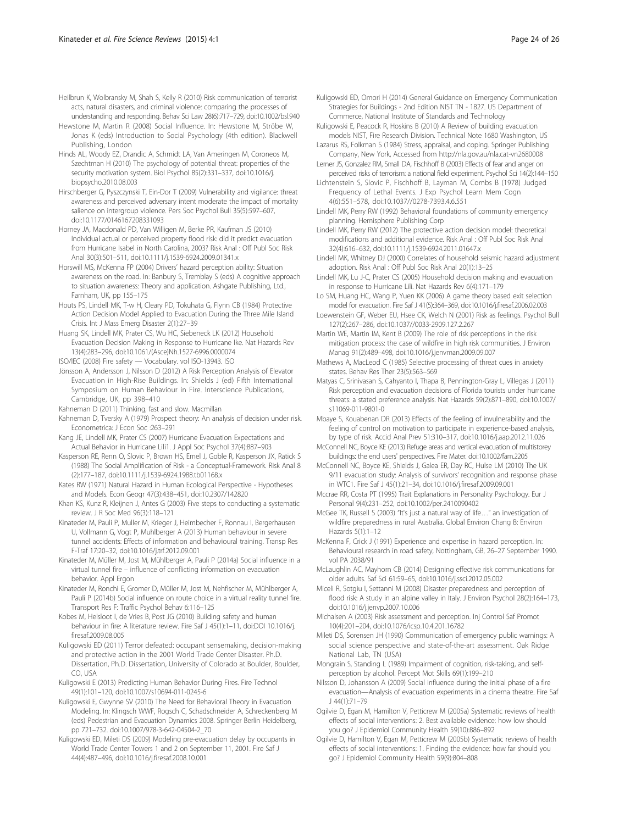- <span id="page-23-0"></span>Heilbrun K, Wolbransky M, Shah S, Kelly R (2010) Risk communication of terrorist acts, natural disasters, and criminal violence: comparing the processes of understanding and responding. Behav Sci Law 28(6):717–729, doi:10.1002/bsl.940
- Hewstone M, Martin R (2008) Social Influence. In: Hewstone M, Ströbe W, Jonas K (eds) Introduction to Social Psychology (4th edition). Blackwell Publishing, London
- Hinds AL, Woody EZ, Drandic A, Schmidt LA, Van Ameringen M, Coroneos M, Szechtman H (2010) The psychology of potential threat: properties of the security motivation system. Biol Psychol 85(2):331–337, doi:10.1016/j. biopsycho.2010.08.003
- Hirschberger G, Pyszczynski T, Ein-Dor T (2009) Vulnerability and vigilance: threat awareness and perceived adversary intent moderate the impact of mortality salience on intergroup violence. Pers Soc Psychol Bull 35(5):597–607, doi:10.1177/0146167208331093
- Horney JA, Macdonald PD, Van Willigen M, Berke PR, Kaufman JS (2010) Individual actual or perceived property flood risk: did it predict evacuation from Hurricane Isabel in North Carolina, 2003? Risk Anal : Off Publ Soc Risk Anal 30(3):501–511, doi:10.1111/j.1539-6924.2009.01341.x
- Horswill MS, McKenna FP (2004) Drivers' hazard perception ability: Situation awareness on the road. In: Banbury S, Tremblay S (eds) A cognitive approach to situation awareness: Theory and application. Ashgate Publishing, Ltd., Farnham, UK, pp 155–175
- Houts PS, Lindell MK, T-w H, Cleary PD, Tokuhata G, Flynn CB (1984) Protective Action Decision Model Applied to Evacuation During the Three Mile Island Crisis. Int J Mass Emerg Disaster 2(1):27–39
- Huang SK, Lindell MK, Prater CS, Wu HC, Siebeneck LK (2012) Household Evacuation Decision Making in Response to Hurricane Ike. Nat Hazards Rev 13(4):283–296, doi:10.1061/(Asce)Nh.1527-6996.0000074
- ISO/IEC (2008) Fire safety Vocabulary. vol ISO-13943. ISO
- Jönsson A, Andersson J, Nilsson D (2012) A Risk Perception Analysis of Elevator Evacuation in High-Rise Buildings. In: Shields J (ed) Fifth International Symposium on Human Behaviour in Fire. Interscience Publications, Cambridge, UK, pp 398–410
- Kahneman D (2011) Thinking, fast and slow. Macmillan
- Kahneman D, Tversky A (1979) Prospect theory: An analysis of decision under risk. Econometrica: J Econ Soc :263–291
- Kang JE, Lindell MK, Prater CS (2007) Hurricane Evacuation Expectations and Actual Behavior in Hurricane Lili1. J Appl Soc Psychol 37(4):887–903
- Kasperson RE, Renn O, Slovic P, Brown HS, Emel J, Goble R, Kasperson JX, Ratick S (1988) The Social Amplification of Risk - a Conceptual-Framework. Risk Anal 8 (2):177–187, doi:10.1111/j.1539-6924.1988.tb01168.x
- Kates RW (1971) Natural Hazard in Human Ecological Perspective Hypotheses and Models. Econ Geogr 47(3):438–451, doi:10.2307/142820
- Khan KS, Kunz R, Kleijnen J, Antes G (2003) Five steps to conducting a systematic review. J R Soc Med 96(3):118–121
- Kinateder M, Pauli P, Muller M, Krieger J, Heimbecher F, Ronnau I, Bergerhausen U, Vollmann G, Vogt P, Muhlberger A (2013) Human behaviour in severe tunnel accidents: Effects of information and behavioural training. Transp Res F-Traf 17:20–32, doi:10.1016/j.trf.2012.09.001
- Kinateder M, Müller M, Jost M, Mühlberger A, Pauli P (2014a) Social influence in a virtual tunnel fire – influence of conflicting information on evacuation behavior. Appl Ergon
- Kinateder M, Ronchi E, Gromer D, Müller M, Jost M, Nehfischer M, Mühlberger A, Pauli P (2014b) Social influence on route choice in a virtual reality tunnel fire. Transport Res F: Traffic Psychol Behav 6:116–125
- Kobes M, Helsloot I, de Vries B, Post JG (2010) Building safety and human behaviour in fire: A literature review. Fire Saf J 45(1):1–11, doi:DOI 10.1016/j. firesaf.2009.08.005
- Kuligowski ED (2011) Terror defeated: occupant sensemaking, decision-making and protective action in the 2001 World Trade Center Disaster. Ph.D. Dissertation, Ph.D. Dissertation, University of Colorado at Boulder, Boulder, CO, USA
- Kuligowski E (2013) Predicting Human Behavior During Fires. Fire Technol 49(1):101–120, doi:10.1007/s10694-011-0245-6
- Kuligowski E, Gwynne SV (2010) The Need for Behavioral Theory in Evacuation Modeling. In: Klingsch WWF, Rogsch C, Schadschneider A, Schreckenberg M (eds) Pedestrian and Evacuation Dynamics 2008. Springer Berlin Heidelberg, pp 721–732. doi:10.1007/978-3-642-04504-2\_70
- Kuligowski ED, Mileti DS (2009) Modeling pre-evacuation delay by occupants in World Trade Center Towers 1 and 2 on September 11, 2001. Fire Saf J 44(4):487–496, doi:10.1016/j.firesaf.2008.10.001
- Kuligowski ED, Omori H (2014) General Guidance on Emergency Communication Strategies for Buildings - 2nd Edition NIST TN - 1827. US Department of Commerce, National Institute of Standards and Technology
- Kuligowski E, Peacock R, Hoskins B (2010) A Review of building evacuation models NIST, Fire Research Division. Technical Note 1680 Washington, US
- Lazarus RS, Folkman S (1984) Stress, appraisal, and coping. Springer Publishing Company, New York, Accessed from<http://nla.gov.au/nla.cat-vn2680008>
- Lerner JS, Gonzalez RM, Small DA, Fischhoff B (2003) Effects of fear and anger on perceived risks of terrorism: a national field experiment. Psychol Sci 14(2):144–150 Lichtenstein S, Slovic P, Fischhoff B, Layman M, Combs B (1978) Judged
- Frequency of Lethal Events. J Exp Psychol Learn Mem Cogn 4(6):551–578, doi:10.1037//0278-7393.4.6.551
- Lindell MK, Perry RW (1992) Behavioral foundations of community emergency planning. Hemisphere Publishing Corp

Lindell MK, Perry RW (2012) The protective action decision model: theoretical modifications and additional evidence. Risk Anal : Off Publ Soc Risk Anal 32(4):616–632, doi:10.1111/j.1539-6924.2011.01647.x

- Lindell MK, Whitney DJ (2000) Correlates of household seismic hazard adjustment adoption. Risk Anal : Off Publ Soc Risk Anal 20(1):13–25
- Lindell MK, Lu J-C, Prater CS (2005) Household decision making and evacuation in response to Hurricane Lili. Nat Hazards Rev 6(4):171–179
- Lo SM, Huang HC, Wang P, Yuen KK (2006) A game theory based exit selection model for evacuation. Fire Saf J 41(5):364–369, doi:10.1016/j.firesaf.2006.02.003
- Loewenstein GF, Weber EU, Hsee CK, Welch N (2001) Risk as feelings. Psychol Bull 127(2):267–286, doi:10.1037//0033-2909.127.2.267
- Martin WE, Martin IM, Kent B (2009) The role of risk perceptions in the risk mitigation process: the case of wildfire in high risk communities. J Environ Manag 91(2):489–498, doi:10.1016/j.jenvman.2009.09.007
- Mathews A, MacLeod C (1985) Selective processing of threat cues in anxiety states. Behav Res Ther 23(5):563–569
- Matyas C, Srinivasan S, Cahyanto I, Thapa B, Pennington-Gray L, Villegas J (2011) Risk perception and evacuation decisions of Florida tourists under hurricane threats: a stated preference analysis. Nat Hazards 59(2):871–890, doi:10.1007/ s11069-011-9801-0
- Mbaye S, Kouabenan DR (2013) Effects of the feeling of invulnerability and the feeling of control on motivation to participate in experience-based analysis, by type of risk. Accid Anal Prev 51:310–317, doi:10.1016/j.aap.2012.11.026
- McConnell NC, Boyce KE (2013) Refuge areas and vertical evacuation of multistorey buildings: the end users' perspectives. Fire Mater. doi:10.1002/fam.2205
- McConnell NC, Boyce KE, Shields J, Galea ER, Day RC, Hulse LM (2010) The UK 9/11 evacuation study: Analysis of survivors' recognition and response phase in WTC1. Fire Saf J 45(1):21–34, doi:10.1016/j.firesaf.2009.09.001
- Mccrae RR, Costa PT (1995) Trait Explanations in Personality Psychology. Eur J Personal 9(4):231–252, doi:10.1002/per.2410090402
- McGee TK, Russell S (2003) "It's just a natural way of life…" an investigation of wildfire preparedness in rural Australia. Global Environ Chang B: Environ Hazards 5(1):1–12
- McKenna F, Crick J (1991) Experience and expertise in hazard perception. In: Behavioural research in road safety, Nottingham, GB, 26–27 September 1990. vol PA 2038/91
- McLaughlin AC, Mayhorn CB (2014) Designing effective risk communications for older adults. Saf Sci 61:59–65, doi:10.1016/j.ssci.2012.05.002
- Miceli R, Sotgiu I, Settanni M (2008) Disaster preparedness and perception of flood risk: A study in an alpine valley in Italy. J Environ Psychol 28(2):164–173, doi:10.1016/j.jenvp.2007.10.006
- Michalsen A (2003) Risk assessment and perception. Inj Control Saf Promot 10(4):201–204, doi:10.1076/icsp.10.4.201.16782
- Mileti DS, Sorensen JH (1990) Communication of emergency public warnings: A social science perspective and state-of-the-art assessment. Oak Ridge National Lab, TN (USA)
- Mongrain S, Standing L (1989) Impairment of cognition, risk-taking, and selfperception by alcohol. Percept Mot Skills 69(1):199–210
- Nilsson D, Johansson A (2009) Social influence during the initial phase of a fire evacuation—Analysis of evacuation experiments in a cinema theatre. Fire Saf J 44(1):71–79
- Ogilvie D, Egan M, Hamilton V, Petticrew M (2005a) Systematic reviews of health effects of social interventions: 2. Best available evidence: how low should you go? J Epidemiol Community Health 59(10):886–892
- Ogilvie D, Hamilton V, Egan M, Petticrew M (2005b) Systematic reviews of health effects of social interventions: 1. Finding the evidence: how far should you go? J Epidemiol Community Health 59(9):804–808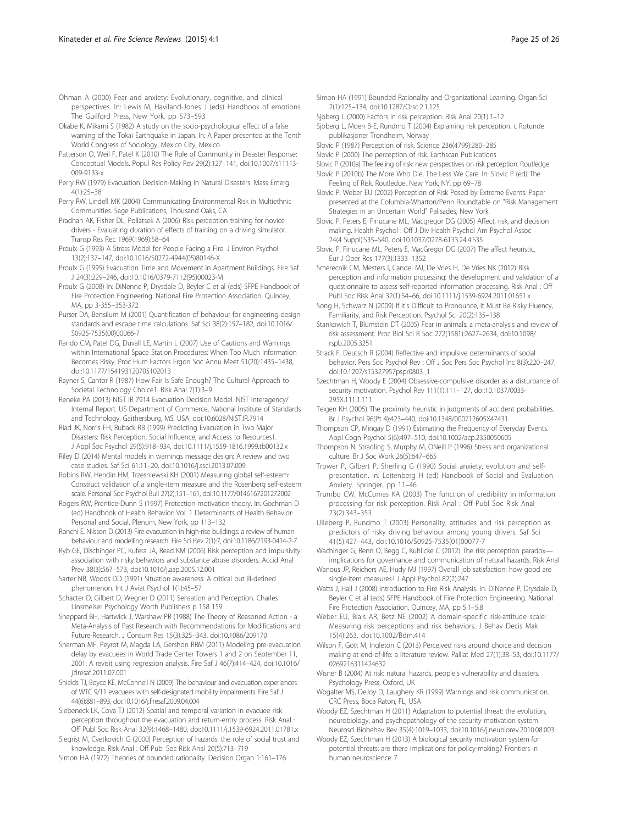<span id="page-24-0"></span>Öhman A (2000) Fear and anxiety: Evolutionary, cognitive, and clinical

- perspectives. In: Lewis M, Haviland-Jones J (eds) Handbook of emotions. The Guilford Press, New York, pp 573–593 Okabe K, Mikami S (1982) A study on the socio-psychological effect of a false
- warning of the Tokai Earthquake in Japan. In: A Paper presented at the Tenth World Congress of Sociology, Mexico City, Mexico
- Patterson O, Weil F, Patel K (2010) The Role of Community in Disaster Response: Conceptual Models. Popul Res Policy Rev 29(2):127–141, doi:10.1007/s11113- 009-9133-x
- Perry RW (1979) Evacuation Decision-Making in Natural Disasters. Mass Emerg 4(1):25–38
- Perry RW, Lindell MK (2004) Communicating Environmental Risk in Multiethnic Communities. Sage Publications, Thousand Oaks, CA
- Pradhan AK, Fisher DL, Pollatsek A (2006) Risk perception training for novice drivers - Evaluating duration of effects of training on a driving simulator. Transp Res Rec 1969(1969):58–64
- Proulx G (1993) A Stress Model for People Facing a Fire. J Environ Psychol 13(2):137–147, doi:10.1016/S0272-4944(05)80146-X
- Proulx G (1995) Evacuation Time and Movement in Apartment Buildings. Fire Saf J 24(3):229–246, doi:10.1016/0379-7112(95)00023-M
- Proulx G (2008) In: DiNenne P, Drysdale D, Beyler C et al (eds) SFPE Handbook of Fire Protection Engineering. National Fire Protection Association, Quincey, MA, pp 3-355–353-372
- Purser DA, Bensilum M (2001) Quantification of behaviour for engineering design standards and escape time calculations. Saf Sci 38(2):157–182, doi:10.1016/ S0925-7535(00)00066-7
- Rando CM, Patel DG, Duvall LE, Martin L (2007) Use of Cautions and Warnings within International Space Station Procedures: When Too Much Information Becomes Risky. Proc Hum Factors Ergon Soc Annu Meet 51(20):1435–1438, doi:10.1177/154193120705102013
- Rayner S, Cantor R (1987) How Fair Is Safe Enough? The Cultural Approach to Societal Technology Choice1. Risk Anal 7(1):3–9
- Reneke PA (2013) NIST IR 7914 Evacuation Decision Model. NIST Interagency/ Internal Report. US Department of Commerce, National Institute of Standards and Technology, Gaithersburg, MS, USA, doi:10.6028/NIST.IR.7914
- Riad JK, Norris FH, Ruback RB (1999) Predicting Evacuation in Two Major Disasters: Risk Perception, Social Influence, and Access to Resources1. J Appl Soc Psychol 29(5):918–934, doi:10.1111/j.1559-1816.1999.tb00132.x
- Riley D (2014) Mental models in warnings message design: A review and two case studies. Saf Sci 61:11–20, doi:10.1016/j.ssci.2013.07.009
- Robins RW, Hendin HM, Trzesniewski KH (2001) Measuring global self-esteem: Construct validation of a single-item measure and the Rosenberg self-esteem scale. Personal Soc Psychol Bull 27(2):151–161, doi:10.1177/0146167201272002
- Rogers RW, Prentice-Dunn S (1997) Protection motivation theory. In: Gochman D (ed) Handbook of Health Behavior: Vol. 1 Determinants of Health Behavior: Personal and Social. Plenum, New York, pp 113–132
- Ronchi E, Nilsson D (2013) Fire evacuation in high-rise buildings: a review of human behaviour and modelling research. Fire Sci Rev 2(1):7, doi:10.1186/2193-0414-2-7
- Ryb GE, Dischinger PC, Kufera JA, Read KM (2006) Risk perception and impulsivity: association with risky behaviors and substance abuse disorders. Accid Anal Prev 38(3):567–573, doi:10.1016/j.aap.2005.12.001
- Sarter NB, Woods DD (1991) Situation awareness: A critical but ill-defined phenomenon. Int J Aviat Psychol 1(1):45–57
- Schacter D, Gilbert D, Wegner D (2011) Sensation and Perception. Charles Linsmeiser Psychology Worth Publishers p 158 159
- Sheppard BH, Hartwick J, Warshaw PR (1988) The Theory of Reasoned Action a Meta-Analysis of Past Research with Recommendations for Modifications and Future-Research. J Consum Res 15(3):325–343, doi:10.1086/209170
- Sherman MF, Peyrot M, Magda LA, Gershon RRM (2011) Modeling pre-evacuation delay by evacuees in World Trade Center Towers 1 and 2 on September 11, 2001: A revisit using regression analysis. Fire Saf J 46(7):414–424, doi:10.1016/ j.firesaf.2011.07.001
- Shields TJ, Boyce KE, McConnell N (2009) The behaviour and evacuation experiences of WTC 9/11 evacuees with self-designated mobility impairments. Fire Saf J 44(6):881–893, doi:10.1016/j.firesaf.2009.04.004
- Siebeneck LK, Cova TJ (2012) Spatial and temporal variation in evacuee risk perception throughout the evacuation and return-entry process. Risk Anal : Off Publ Soc Risk Anal 32(9):1468–1480, doi:10.1111/j.1539-6924.2011.01781.x
- Siegrist M, Cvetkovich G (2000) Perception of hazards: the role of social trust and knowledge. Risk Anal : Off Publ Soc Risk Anal 20(5):713–719
- Simon HA (1972) Theories of bounded rationality. Decision Organ 1:161–176
- Simon HA (1991) Bounded Rationality and Organizational Learning. Organ Sci 2(1):125–134, doi:10.1287/Orsc.2.1.125
- Sjöberg L (2000) Factors in risk perception. Risk Anal 20(1):1–12
- Sjöberg L, Moen B-E, Rundmo T (2004) Explaining risk perception. c Rotunde publikasjoner Trondheim, Norway
- Slovic P (1987) Perception of risk. Science 236(4799):280–285
- Slovic P (2000) The perception of risk. Earthscan Publications
- Slovic P (2010a) The feeling of risk: new perspectives on risk perception. Routledge
- Slovic P (2010b) The More Who Die, The Less We Care. In: Slovic P (ed) The Feeling of Risk. Routledge, New York, NY, pp 69–78
- Slovic P, Weber EU (2002) Perception of Risk Posed by Extreme Events. Paper presented at the Columbia-Wharton/Penn Roundtable on "Risk Management Strategies in an Uncertain World" Palisades, New York
- Slovic P, Peters E, Finucane ML, Macgregor DG (2005) Affect, risk, and decision making. Health Psychol : Off J Div Health Psychol Am Psychol Assoc 24(4 Suppl):S35–S40, doi:10.1037/0278-6133.24.4.S35
- Slovic P, Finucane ML, Peters E, MacGregor DG (2007) The affect heuristic. Eur J Oper Res 177(3):1333–1352
- Smerecnik CM, Mesters I, Candel MJ, De Vries H, De Vries NK (2012) Risk perception and information processing: the development and validation of a questionnaire to assess self-reported information processing. Risk Anal : Off Publ Soc Risk Anal 32(1):54–66, doi:10.1111/j.1539-6924.2011.01651.x
- Song H, Schwarz N (2009) If It's Difficult to Pronounce, It Must Be Risky Fluency, Familiarity, and Risk Perception. Psychol Sci 20(2):135–138
- Stankowich T, Blumstein DT (2005) Fear in animals: a meta-analysis and review of risk assessment. Proc Biol Sci R Soc 272(1581):2627–2634, doi:10.1098/ rspb.2005.3251
- Strack F, Deutsch R (2004) Reflective and impulsive determinants of social behavior. Pers Soc Psychol Rev : Off J Soc Pers Soc Psychol Inc 8(3):220–247, doi:10.1207/s15327957pspr0803\_1
- Szechtman H, Woody E (2004) Obsessive-compulsive disorder as a disturbance of security motivation. Psychol Rev 111(1):111–127, doi:10.1037/0033- 295X.111.1.111
- Teigen KH (2005) The proximity heuristic in judgments of accident probabilities. Br J Psychol 96(Pt 4):423–440, doi:10.1348/000712605X47431
- Thompson CP, Mingay D (1991) Estimating the Frequency of Everyday Events. Appl Cogn Psychol 5(6):497–510, doi:10.1002/acp.2350050605
- Thompson N, Stradling S, Murphy M, ONeill P (1996) Stress and organizational culture. Br J Soc Work 26(5):647–665
- Trower P, Gilbert P, Sherling G (1990) Social anxiety, evolution and selfpresentation. In: Leitenberg H (ed) Handbook of Social and Evaluation Anxiety. Springer, pp 11–46
- Trumbo CW, McComas KA (2003) The function of credibility in information processing for risk perception. Risk Anal : Off Publ Soc Risk Anal 23(2):343–353
- Ulleberg P, Rundmo T (2003) Personality, attitudes and risk perception as predictors of risky driving behaviour among young drivers. Saf Sci 41(5):427–443, doi:10.1016/S0925-7535(01)00077-7
- Wachinger G, Renn O, Begg C, Kuhlicke C (2012) The risk perception paradoximplications for governance and communication of natural hazards. Risk Anal
- Wanous JP, Reichers AE, Hudy MJ (1997) Overall job satisfaction: how good are single-item measures? J Appl Psychol 82(2):247
- Watts J, Hall J (2008) Introduction to Fire Risk Analysis. In: DiNenne P, Drysdale D, Beyler C et al (eds) SFPE Handbook of Fire Protection Engineering. National Fire Protection Association, Quincey, MA, pp 5.1–5.8
- Weber EU, Blais AR, Betz NE (2002) A domain-specific risk-attitude scale: Measuring risk perceptions and risk behaviors. J Behav Decis Mak 15(4):263, doi:10.1002/Bdm.414
- Wilson F, Gott M, Ingleton C (2013) Perceived risks around choice and decision making at end-of-life: a literature review. Palliat Med 27(1):38–53, doi:10.1177/ 0269216311424632
- Wisner B (2004) At risk: natural hazards, people's vulnerability and disasters. Psychology Press, Oxford, UK
- Wogalter MS, DeJoy D, Laughery KR (1999) Warnings and risk communication. CRC Press, Boca Raton, FL, USA
- Woody EZ, Szechtman H (2011) Adaptation to potential threat: the evolution, neurobiology, and psychopathology of the security motivation system. Neurosci Biobehav Rev 35(4):1019–1033, doi:10.1016/j.neubiorev.2010.08.003
- Woody EZ, Szechtman H (2013) A biological security motivation system for potential threats: are there implications for policy-making? Frontiers in human neuroscience 7